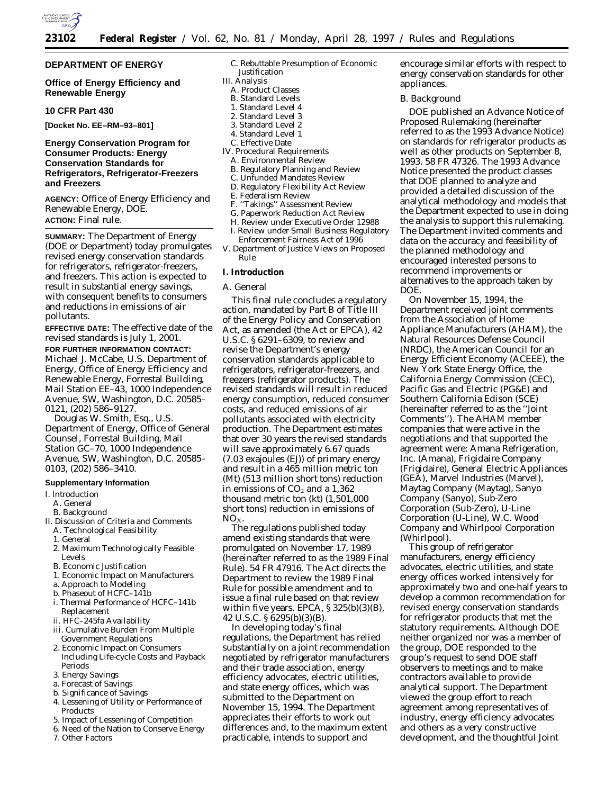

### **DEPARTMENT OF ENERGY**

### **Office of Energy Efficiency and Renewable Energy**

#### **10 CFR Part 430**

**[Docket No. EE–RM–93–801]**

### **Energy Conservation Program for Consumer Products: Energy Conservation Standards for Refrigerators, Refrigerator-Freezers and Freezers**

**AGENCY:** Office of Energy Efficiency and Renewable Energy, DOE. **ACTION:** Final rule.

**SUMMARY:** The Department of Energy (DOE or Department) today promulgates revised energy conservation standards for refrigerators, refrigerator-freezers, and freezers. This action is expected to result in substantial energy savings, with consequent benefits to consumers and reductions in emissions of air pollutants.

**EFFECTIVE DATE:** The effective date of the revised standards is July 1, 2001. **FOR FURTHER INFORMATION CONTACT:** Michael J. McCabe, U.S. Department of Energy, Office of Energy Efficiency and Renewable Energy, Forrestal Building, Mail Station EE–43, 1000 Independence Avenue, SW, Washington, D.C. 20585– 0121, (202) 586–9127.

Douglas W. Smith, Esq., U.S. Department of Energy, Office of General Counsel, Forrestal Building, Mail Station GC–70, 1000 Independence Avenue, SW, Washington, D.C. 20585– 0103, (202) 586–3410.

#### **Supplementary Information**

- I. Introduction
- A. General
- B. Background
- II. Discussion of Criteria and Comments
	- A. Technological Feasibility
	- 1. General
	- 2. Maximum Technologically Feasible Levels
	- B. Economic Justification
	- 1. Economic Impact on Manufacturers
	- a. Approach to Modeling
	- b. Phaseout of HCFC–141b
	- i. Thermal Performance of HCFC–141b Replacement
	- ii. HFC–245fa Availability
	- iii. Cumulative Burden From Multiple Government Regulations
	- 2. Economic Impact on Consumers Including Life-cycle Costs and Payback Periods
	- 3. Energy Savings
	- a. Forecast of Savings
	- b. Significance of Savings
	- 4. Lessening of Utility or Performance of **Products**
	- 5. Impact of Lessening of Competition
	- 6. Need of the Nation to Conserve Energy
	- 7. Other Factors
- C. Rebuttable Presumption of Economic Justification
- III. Analysis
	- A. Product Classes
	- B. Standard Levels
	- 3. Standard Level 2
	- 4. Standard Level 1
	-
- C. Effective Date
- IV. Procedural Requirements
	- A. Environmental Review B. Regulatory Planning and Review
	-
	- C. Unfunded Mandates Review
	- D. Regulatory Flexibility Act Review E. Federalism Review
	-
	- F. ''Takings'' Assessment Review
	- G. Paperwork Reduction Act Review
- H. Review under Executive Order 12988 I. Review under Small Business Regulatory
- Enforcement Fairness Act of 1996 V. Department of Justice Views on Proposed
- Rule

### **I. Introduction**

### *A. General*

This final rule concludes a regulatory action, mandated by Part B of Title III of the Energy Policy and Conservation Act, as amended (the Act or EPCA), 42 U.S.C. § 6291–6309, to review and revise the Department's energy conservation standards applicable to refrigerators, refrigerator-freezers, and freezers (refrigerator products). The revised standards will result in reduced energy consumption, reduced consumer costs, and reduced emissions of air pollutants associated with electricity production. The Department estimates that over 30 years the revised standards will save approximately 6.67 quads (7.03 exajoules (EJ)) of primary energy and result in a 465 million metric ton (Mt) (513 million short tons) reduction in emissions of  $CO<sub>2</sub>$  and a 1,362 thousand metric ton (kt) (1,501,000 short tons) reduction in emissions of  $NO<sub>X</sub>$ .

The regulations published today amend existing standards that were promulgated on November 17, 1989 (hereinafter referred to as the 1989 Final Rule). 54 FR 47916. The Act directs the Department to review the 1989 Final Rule for possible amendment and to issue a final rule based on that review within five years. EPCA,  $\S 325(b)(3)(B)$ , 42 U.S.C. § 6295(b)(3)(B).

In developing today's final regulations, the Department has relied substantially on a joint recommendation negotiated by refrigerator manufacturers and their trade association, energy efficiency advocates, electric utilities, and state energy offices, which was submitted to the Department on November 15, 1994. The Department appreciates their efforts to work out differences and, to the maximum extent practicable, intends to support and

encourage similar efforts with respect to energy conservation standards for other appliances.

#### *B. Background*

DOE published an Advance Notice of Proposed Rulemaking (hereinafter referred to as the 1993 Advance Notice) on standards for refrigerator products as well as other products on September 8, 1993. 58 FR 47326. The 1993 Advance Notice presented the product classes that DOE planned to analyze and provided a detailed discussion of the analytical methodology and models that the Department expected to use in doing the analysis to support this rulemaking. The Department invited comments and data on the accuracy and feasibility of the planned methodology and encouraged interested persons to recommend improvements or alternatives to the approach taken by DOE.

On November 15, 1994, the Department received joint comments from the Association of Home Appliance Manufacturers (AHAM), the Natural Resources Defense Council (NRDC), the American Council for an Energy Efficient Economy (ACEEE), the New York State Energy Office, the California Energy Commission (CEC), Pacific Gas and Electric (PG&E) and Southern California Edison (SCE) (hereinafter referred to as the ''Joint Comments''). The AHAM member companies that were active in the negotiations and that supported the agreement were: Amana Refrigeration, Inc. (Amana), Frigidaire Company (Frigidaire), General Electric Appliances (GEA), Marvel Industries (Marvel), Maytag Company (Maytag), Sanyo Company (Sanyo), Sub-Zero Corporation (Sub-Zero), U-Line Corporation (U-Line), W.C. Wood Company and Whirlpool Corporation (Whirlpool).

This group of refrigerator manufacturers, energy efficiency advocates, electric utilities, and state energy offices worked intensively for approximately two and one-half years to develop a common recommendation for revised energy conservation standards for refrigerator products that met the statutory requirements. Although DOE neither organized nor was a member of the group, DOE responded to the group's request to send DOE staff observers to meetings and to make contractors available to provide analytical support. The Department viewed the group effort to reach agreement among representatives of industry, energy efficiency advocates and others as a very constructive development, and the thoughtful Joint

1. Standard Level 4 2. Standard Level 3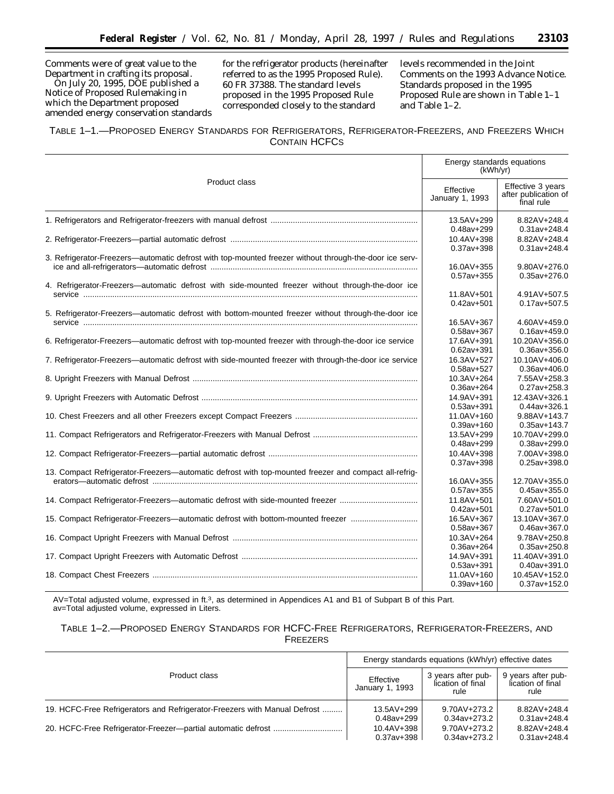Comments were of great value to the Department in crafting its proposal. On July 20, 1995, DOE published a

Notice of Proposed Rulemaking in which the Department proposed amended energy conservation standards

for the refrigerator products (hereinafter referred to as the 1995 Proposed Rule). 60 FR 37388. The standard levels proposed in the 1995 Proposed Rule corresponded closely to the standard

levels recommended in the Joint Comments on the 1993 Advance Notice. Standards proposed in the 1995 Proposed Rule are shown in Table 1–1 and Table 1–2.

| TABLE 1-1.-PROPOSED ENERGY STANDARDS FOR REFRIGERATORS, REFRIGERATOR-FREEZERS, AND FREEZERS WHICH |  |
|---------------------------------------------------------------------------------------------------|--|
| <b>CONTAIN HCFCS</b>                                                                              |  |

| Product class<br>Effective 3 years<br>Effective<br>after publication of<br>January 1, 1993<br>final rule<br>13.5AV+299<br>8.82AV+248.4<br>$0.48$ av+299<br>$0.31av + 248.4$<br>10.4AV+398<br>8.82AV+248.4<br>$0.37av + 398$<br>$0.31av + 248.4$<br>3. Refrigerator-Freezers-automatic defrost with top-mounted freezer without through-the-door ice serv-<br>16.0AV+355<br>9.80AV+276.0<br>$0.57av + 355$<br>$0.35av + 276.0$<br>4. Refrigerator-Freezers-automatic defrost with side-mounted freezer without through-the-door ice<br>4.91AV+507.5<br>11.8AV+501<br>$0.42av + 501$<br>$0.17av + 507.5$<br>5. Refrigerator-Freezers-automatic defrost with bottom-mounted freezer without through-the-door ice<br>16.5AV+367<br>4.60AV+459.0<br>$0.58av + 367$<br>$0.16av + 459.0$<br>6. Refrigerator-Freezers-automatic defrost with top-mounted freezer with through-the-door ice service<br>10.20AV+356.0<br>17.6AV+391<br>$0.62av + 391$<br>$0.36av + 356.0$<br>7. Refrigerator-Freezers—automatic defrost with side-mounted freezer with through-the-door ice service<br>16.3AV+527<br>10.10AV+406.0<br>$0.58av + 527$<br>$0.36av + 406.0$<br>7.55AV+258.3<br>10.3AV+264<br>$0.36av + 264$<br>$0.27av + 258.3$<br>14.9AV+391<br>12.43AV+326.1<br>$0.53av + 391$<br>$0.44$ av+326.1<br>11.0AV+160<br>9.88AV+143.7<br>$0.39av + 160$<br>$0.35av + 143.7$<br>13.5AV+299<br>10.70AV+299.0<br>$0.48av + 299$<br>$0.38av + 299.0$<br>10.4AV+398<br>7.00AV+398.0<br>$0.37av + 398$<br>$0.25av + 398.0$<br>13. Compact Refrigerator-Freezers—automatic defrost with top-mounted freezer and compact all-refrig-<br>12.70AV+355.0<br>16.0AV+355<br>$0.57av + 355$<br>$0.45av + 355.0$<br>14. Compact Refrigerator-Freezers—automatic defrost with side-mounted freezer<br>11.8AV+501<br>7.60AV+501.0<br>$0.42av + 501$<br>$0.27av + 501.0$<br>15. Compact Refrigerator-Freezers—automatic defrost with bottom-mounted freezer<br>13.10AV+367.0<br>16.5AV+367<br>$0.58av + 367$<br>$0.46av + 367.0$<br>10.3AV+264<br>9.78AV+250.8<br>$0.36av + 264$<br>$0.35av + 250.8$<br>14.9AV+391<br>11.40AV+391.0<br>$0.53av + 391$<br>$0.40$ av+391.0<br>11.0AV+160<br>10.45AV+152.0<br>$0.39av + 160$<br>$0.37av + 152.0$ | Energy standards equations<br>(kWh/yr) |  |  |
|------------------------------------------------------------------------------------------------------------------------------------------------------------------------------------------------------------------------------------------------------------------------------------------------------------------------------------------------------------------------------------------------------------------------------------------------------------------------------------------------------------------------------------------------------------------------------------------------------------------------------------------------------------------------------------------------------------------------------------------------------------------------------------------------------------------------------------------------------------------------------------------------------------------------------------------------------------------------------------------------------------------------------------------------------------------------------------------------------------------------------------------------------------------------------------------------------------------------------------------------------------------------------------------------------------------------------------------------------------------------------------------------------------------------------------------------------------------------------------------------------------------------------------------------------------------------------------------------------------------------------------------------------------------------------------------------------------------------------------------------------------------------------------------------------------------------------------------------------------------------------------------------------------------------------------------------------------------------------------------------------------------------------------------------------------------------------------------------------------------------------------------------------------------------------------------------------------|----------------------------------------|--|--|
|                                                                                                                                                                                                                                                                                                                                                                                                                                                                                                                                                                                                                                                                                                                                                                                                                                                                                                                                                                                                                                                                                                                                                                                                                                                                                                                                                                                                                                                                                                                                                                                                                                                                                                                                                                                                                                                                                                                                                                                                                                                                                                                                                                                                            |                                        |  |  |
|                                                                                                                                                                                                                                                                                                                                                                                                                                                                                                                                                                                                                                                                                                                                                                                                                                                                                                                                                                                                                                                                                                                                                                                                                                                                                                                                                                                                                                                                                                                                                                                                                                                                                                                                                                                                                                                                                                                                                                                                                                                                                                                                                                                                            |                                        |  |  |
|                                                                                                                                                                                                                                                                                                                                                                                                                                                                                                                                                                                                                                                                                                                                                                                                                                                                                                                                                                                                                                                                                                                                                                                                                                                                                                                                                                                                                                                                                                                                                                                                                                                                                                                                                                                                                                                                                                                                                                                                                                                                                                                                                                                                            |                                        |  |  |
|                                                                                                                                                                                                                                                                                                                                                                                                                                                                                                                                                                                                                                                                                                                                                                                                                                                                                                                                                                                                                                                                                                                                                                                                                                                                                                                                                                                                                                                                                                                                                                                                                                                                                                                                                                                                                                                                                                                                                                                                                                                                                                                                                                                                            |                                        |  |  |
|                                                                                                                                                                                                                                                                                                                                                                                                                                                                                                                                                                                                                                                                                                                                                                                                                                                                                                                                                                                                                                                                                                                                                                                                                                                                                                                                                                                                                                                                                                                                                                                                                                                                                                                                                                                                                                                                                                                                                                                                                                                                                                                                                                                                            |                                        |  |  |
|                                                                                                                                                                                                                                                                                                                                                                                                                                                                                                                                                                                                                                                                                                                                                                                                                                                                                                                                                                                                                                                                                                                                                                                                                                                                                                                                                                                                                                                                                                                                                                                                                                                                                                                                                                                                                                                                                                                                                                                                                                                                                                                                                                                                            |                                        |  |  |
|                                                                                                                                                                                                                                                                                                                                                                                                                                                                                                                                                                                                                                                                                                                                                                                                                                                                                                                                                                                                                                                                                                                                                                                                                                                                                                                                                                                                                                                                                                                                                                                                                                                                                                                                                                                                                                                                                                                                                                                                                                                                                                                                                                                                            |                                        |  |  |
|                                                                                                                                                                                                                                                                                                                                                                                                                                                                                                                                                                                                                                                                                                                                                                                                                                                                                                                                                                                                                                                                                                                                                                                                                                                                                                                                                                                                                                                                                                                                                                                                                                                                                                                                                                                                                                                                                                                                                                                                                                                                                                                                                                                                            |                                        |  |  |
|                                                                                                                                                                                                                                                                                                                                                                                                                                                                                                                                                                                                                                                                                                                                                                                                                                                                                                                                                                                                                                                                                                                                                                                                                                                                                                                                                                                                                                                                                                                                                                                                                                                                                                                                                                                                                                                                                                                                                                                                                                                                                                                                                                                                            |                                        |  |  |
|                                                                                                                                                                                                                                                                                                                                                                                                                                                                                                                                                                                                                                                                                                                                                                                                                                                                                                                                                                                                                                                                                                                                                                                                                                                                                                                                                                                                                                                                                                                                                                                                                                                                                                                                                                                                                                                                                                                                                                                                                                                                                                                                                                                                            |                                        |  |  |
|                                                                                                                                                                                                                                                                                                                                                                                                                                                                                                                                                                                                                                                                                                                                                                                                                                                                                                                                                                                                                                                                                                                                                                                                                                                                                                                                                                                                                                                                                                                                                                                                                                                                                                                                                                                                                                                                                                                                                                                                                                                                                                                                                                                                            |                                        |  |  |
|                                                                                                                                                                                                                                                                                                                                                                                                                                                                                                                                                                                                                                                                                                                                                                                                                                                                                                                                                                                                                                                                                                                                                                                                                                                                                                                                                                                                                                                                                                                                                                                                                                                                                                                                                                                                                                                                                                                                                                                                                                                                                                                                                                                                            |                                        |  |  |
|                                                                                                                                                                                                                                                                                                                                                                                                                                                                                                                                                                                                                                                                                                                                                                                                                                                                                                                                                                                                                                                                                                                                                                                                                                                                                                                                                                                                                                                                                                                                                                                                                                                                                                                                                                                                                                                                                                                                                                                                                                                                                                                                                                                                            |                                        |  |  |
|                                                                                                                                                                                                                                                                                                                                                                                                                                                                                                                                                                                                                                                                                                                                                                                                                                                                                                                                                                                                                                                                                                                                                                                                                                                                                                                                                                                                                                                                                                                                                                                                                                                                                                                                                                                                                                                                                                                                                                                                                                                                                                                                                                                                            |                                        |  |  |
|                                                                                                                                                                                                                                                                                                                                                                                                                                                                                                                                                                                                                                                                                                                                                                                                                                                                                                                                                                                                                                                                                                                                                                                                                                                                                                                                                                                                                                                                                                                                                                                                                                                                                                                                                                                                                                                                                                                                                                                                                                                                                                                                                                                                            |                                        |  |  |
|                                                                                                                                                                                                                                                                                                                                                                                                                                                                                                                                                                                                                                                                                                                                                                                                                                                                                                                                                                                                                                                                                                                                                                                                                                                                                                                                                                                                                                                                                                                                                                                                                                                                                                                                                                                                                                                                                                                                                                                                                                                                                                                                                                                                            |                                        |  |  |
|                                                                                                                                                                                                                                                                                                                                                                                                                                                                                                                                                                                                                                                                                                                                                                                                                                                                                                                                                                                                                                                                                                                                                                                                                                                                                                                                                                                                                                                                                                                                                                                                                                                                                                                                                                                                                                                                                                                                                                                                                                                                                                                                                                                                            |                                        |  |  |
|                                                                                                                                                                                                                                                                                                                                                                                                                                                                                                                                                                                                                                                                                                                                                                                                                                                                                                                                                                                                                                                                                                                                                                                                                                                                                                                                                                                                                                                                                                                                                                                                                                                                                                                                                                                                                                                                                                                                                                                                                                                                                                                                                                                                            |                                        |  |  |
|                                                                                                                                                                                                                                                                                                                                                                                                                                                                                                                                                                                                                                                                                                                                                                                                                                                                                                                                                                                                                                                                                                                                                                                                                                                                                                                                                                                                                                                                                                                                                                                                                                                                                                                                                                                                                                                                                                                                                                                                                                                                                                                                                                                                            |                                        |  |  |
|                                                                                                                                                                                                                                                                                                                                                                                                                                                                                                                                                                                                                                                                                                                                                                                                                                                                                                                                                                                                                                                                                                                                                                                                                                                                                                                                                                                                                                                                                                                                                                                                                                                                                                                                                                                                                                                                                                                                                                                                                                                                                                                                                                                                            |                                        |  |  |
|                                                                                                                                                                                                                                                                                                                                                                                                                                                                                                                                                                                                                                                                                                                                                                                                                                                                                                                                                                                                                                                                                                                                                                                                                                                                                                                                                                                                                                                                                                                                                                                                                                                                                                                                                                                                                                                                                                                                                                                                                                                                                                                                                                                                            |                                        |  |  |
|                                                                                                                                                                                                                                                                                                                                                                                                                                                                                                                                                                                                                                                                                                                                                                                                                                                                                                                                                                                                                                                                                                                                                                                                                                                                                                                                                                                                                                                                                                                                                                                                                                                                                                                                                                                                                                                                                                                                                                                                                                                                                                                                                                                                            |                                        |  |  |
|                                                                                                                                                                                                                                                                                                                                                                                                                                                                                                                                                                                                                                                                                                                                                                                                                                                                                                                                                                                                                                                                                                                                                                                                                                                                                                                                                                                                                                                                                                                                                                                                                                                                                                                                                                                                                                                                                                                                                                                                                                                                                                                                                                                                            |                                        |  |  |
|                                                                                                                                                                                                                                                                                                                                                                                                                                                                                                                                                                                                                                                                                                                                                                                                                                                                                                                                                                                                                                                                                                                                                                                                                                                                                                                                                                                                                                                                                                                                                                                                                                                                                                                                                                                                                                                                                                                                                                                                                                                                                                                                                                                                            |                                        |  |  |
|                                                                                                                                                                                                                                                                                                                                                                                                                                                                                                                                                                                                                                                                                                                                                                                                                                                                                                                                                                                                                                                                                                                                                                                                                                                                                                                                                                                                                                                                                                                                                                                                                                                                                                                                                                                                                                                                                                                                                                                                                                                                                                                                                                                                            |                                        |  |  |
|                                                                                                                                                                                                                                                                                                                                                                                                                                                                                                                                                                                                                                                                                                                                                                                                                                                                                                                                                                                                                                                                                                                                                                                                                                                                                                                                                                                                                                                                                                                                                                                                                                                                                                                                                                                                                                                                                                                                                                                                                                                                                                                                                                                                            |                                        |  |  |
|                                                                                                                                                                                                                                                                                                                                                                                                                                                                                                                                                                                                                                                                                                                                                                                                                                                                                                                                                                                                                                                                                                                                                                                                                                                                                                                                                                                                                                                                                                                                                                                                                                                                                                                                                                                                                                                                                                                                                                                                                                                                                                                                                                                                            |                                        |  |  |
|                                                                                                                                                                                                                                                                                                                                                                                                                                                                                                                                                                                                                                                                                                                                                                                                                                                                                                                                                                                                                                                                                                                                                                                                                                                                                                                                                                                                                                                                                                                                                                                                                                                                                                                                                                                                                                                                                                                                                                                                                                                                                                                                                                                                            |                                        |  |  |
|                                                                                                                                                                                                                                                                                                                                                                                                                                                                                                                                                                                                                                                                                                                                                                                                                                                                                                                                                                                                                                                                                                                                                                                                                                                                                                                                                                                                                                                                                                                                                                                                                                                                                                                                                                                                                                                                                                                                                                                                                                                                                                                                                                                                            |                                        |  |  |
|                                                                                                                                                                                                                                                                                                                                                                                                                                                                                                                                                                                                                                                                                                                                                                                                                                                                                                                                                                                                                                                                                                                                                                                                                                                                                                                                                                                                                                                                                                                                                                                                                                                                                                                                                                                                                                                                                                                                                                                                                                                                                                                                                                                                            |                                        |  |  |
|                                                                                                                                                                                                                                                                                                                                                                                                                                                                                                                                                                                                                                                                                                                                                                                                                                                                                                                                                                                                                                                                                                                                                                                                                                                                                                                                                                                                                                                                                                                                                                                                                                                                                                                                                                                                                                                                                                                                                                                                                                                                                                                                                                                                            |                                        |  |  |
|                                                                                                                                                                                                                                                                                                                                                                                                                                                                                                                                                                                                                                                                                                                                                                                                                                                                                                                                                                                                                                                                                                                                                                                                                                                                                                                                                                                                                                                                                                                                                                                                                                                                                                                                                                                                                                                                                                                                                                                                                                                                                                                                                                                                            |                                        |  |  |
|                                                                                                                                                                                                                                                                                                                                                                                                                                                                                                                                                                                                                                                                                                                                                                                                                                                                                                                                                                                                                                                                                                                                                                                                                                                                                                                                                                                                                                                                                                                                                                                                                                                                                                                                                                                                                                                                                                                                                                                                                                                                                                                                                                                                            |                                        |  |  |
|                                                                                                                                                                                                                                                                                                                                                                                                                                                                                                                                                                                                                                                                                                                                                                                                                                                                                                                                                                                                                                                                                                                                                                                                                                                                                                                                                                                                                                                                                                                                                                                                                                                                                                                                                                                                                                                                                                                                                                                                                                                                                                                                                                                                            |                                        |  |  |
|                                                                                                                                                                                                                                                                                                                                                                                                                                                                                                                                                                                                                                                                                                                                                                                                                                                                                                                                                                                                                                                                                                                                                                                                                                                                                                                                                                                                                                                                                                                                                                                                                                                                                                                                                                                                                                                                                                                                                                                                                                                                                                                                                                                                            |                                        |  |  |
|                                                                                                                                                                                                                                                                                                                                                                                                                                                                                                                                                                                                                                                                                                                                                                                                                                                                                                                                                                                                                                                                                                                                                                                                                                                                                                                                                                                                                                                                                                                                                                                                                                                                                                                                                                                                                                                                                                                                                                                                                                                                                                                                                                                                            |                                        |  |  |
|                                                                                                                                                                                                                                                                                                                                                                                                                                                                                                                                                                                                                                                                                                                                                                                                                                                                                                                                                                                                                                                                                                                                                                                                                                                                                                                                                                                                                                                                                                                                                                                                                                                                                                                                                                                                                                                                                                                                                                                                                                                                                                                                                                                                            |                                        |  |  |
|                                                                                                                                                                                                                                                                                                                                                                                                                                                                                                                                                                                                                                                                                                                                                                                                                                                                                                                                                                                                                                                                                                                                                                                                                                                                                                                                                                                                                                                                                                                                                                                                                                                                                                                                                                                                                                                                                                                                                                                                                                                                                                                                                                                                            |                                        |  |  |
|                                                                                                                                                                                                                                                                                                                                                                                                                                                                                                                                                                                                                                                                                                                                                                                                                                                                                                                                                                                                                                                                                                                                                                                                                                                                                                                                                                                                                                                                                                                                                                                                                                                                                                                                                                                                                                                                                                                                                                                                                                                                                                                                                                                                            |                                        |  |  |

AV=Total adjusted volume, expressed in ft.3, as determined in Appendices A1 and B1 of Subpart B of this Part. av=Total adjusted volume, expressed in Liters.

# TABLE 1–2.—PROPOSED ENERGY STANDARDS FOR HCFC-FREE REFRIGERATORS, REFRIGERATOR-FREEZERS, AND FREEZERS

|                                                                           | Energy standards equations (kWh/yr) effective dates |                                                 |                                                 |
|---------------------------------------------------------------------------|-----------------------------------------------------|-------------------------------------------------|-------------------------------------------------|
| Product class                                                             | Effective<br>January 1, 1993                        | 3 years after pub-<br>lication of final<br>rule | 9 years after pub-<br>lication of final<br>rule |
| 19. HCFC-Free Refrigerators and Refrigerator-Freezers with Manual Defrost | 13.5AV+299                                          | 9.70AV+273.2                                    | 8.82AV+248.4                                    |
|                                                                           | $0.48$ av+299                                       | 0.34av+273.2                                    | $0.31av + 248.4$                                |
|                                                                           | 10.4AV+398                                          | 9.70AV+273.2                                    | 8.82AV+248.4                                    |
|                                                                           | $0.37av + 398$                                      | $0.34$ av+273.2                                 | $0.31av + 248.4$                                |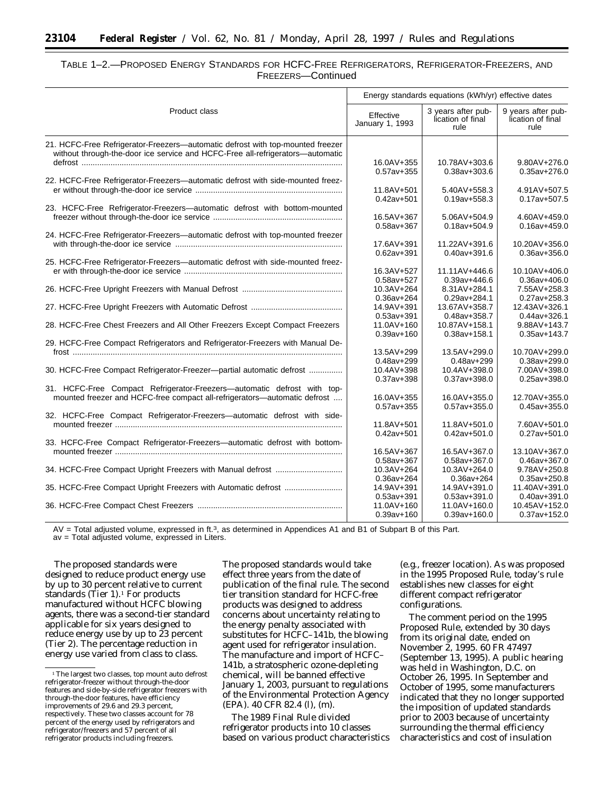| TABLE 1-2.-PROPOSED ENERGY STANDARDS FOR HCFC-FREE REFRIGERATORS, REFRIGERATOR-FREEZERS, AND |  |
|----------------------------------------------------------------------------------------------|--|
| FREEZERS—Continued                                                                           |  |

|                                                                                | Energy standards equations (kWh/yr) effective dates |                                                 |                                                 |
|--------------------------------------------------------------------------------|-----------------------------------------------------|-------------------------------------------------|-------------------------------------------------|
| Product class                                                                  | Effective<br>January 1, 1993                        | 3 years after pub-<br>lication of final<br>rule | 9 years after pub-<br>lication of final<br>rule |
| 21. HCFC-Free Refrigerator-Freezers—automatic defrost with top-mounted freezer |                                                     |                                                 |                                                 |
| without through-the-door ice service and HCFC-Free all-refrigerators—automatic |                                                     |                                                 |                                                 |
|                                                                                | 16.0AV+355                                          | 10.78AV+303.6                                   | $9.80AV + 276.0$                                |
|                                                                                | $0.57av + 355$                                      | $0.38av + 303.6$                                | $0.35av + 276.0$                                |
| 22. HCFC-Free Refrigerator-Freezers-automatic defrost with side-mounted freez- |                                                     |                                                 |                                                 |
|                                                                                | 11.8AV+501                                          | 5.40AV+558.3                                    | 4.91AV+507.5                                    |
|                                                                                | $0.42av + 501$                                      | $0.19$ av+558.3                                 | $0.17av + 507.5$                                |
| 23. HCFC-Free Refrigerator-Freezers-automatic defrost with bottom-mounted      |                                                     |                                                 |                                                 |
|                                                                                | 16.5AV+367                                          | 5.06AV+504.9                                    | 4.60AV+459.0                                    |
|                                                                                | $0.58av + 367$                                      | $0.18$ av+504.9                                 | $0.16av + 459.0$                                |
| 24. HCFC-Free Refrigerator-Freezers-automatic defrost with top-mounted freezer |                                                     |                                                 |                                                 |
|                                                                                | 17.6AV+391                                          | 11.22AV+391.6                                   | 10.20AV+356.0                                   |
|                                                                                | $0.62av + 391$                                      | $0.40$ av+391.6                                 | $0.36av + 356.0$                                |
| 25. HCFC-Free Refrigerator-Freezers-automatic defrost with side-mounted freez- |                                                     |                                                 |                                                 |
|                                                                                | 16.3AV+527                                          | 11.11AV+446.6                                   | 10.10AV+406.0                                   |
|                                                                                | $0.58av + 527$                                      | $0.39$ av+446.6                                 | $0.36av + 406.0$                                |
|                                                                                | 10.3AV+264                                          | 8.31AV+284.1                                    | 7.55AV+258.3                                    |
|                                                                                | $0.36av + 264$                                      | $0.29av + 284.1$                                | $0.27av + 258.3$                                |
|                                                                                | 14.9AV+391                                          | 13.67AV+358.7                                   | 12.43AV+326.1                                   |
|                                                                                | $0.53av + 391$                                      | $0.48av + 358.7$                                | $0.44$ av+326.1                                 |
| 28. HCFC-Free Chest Freezers and All Other Freezers Except Compact Freezers    | 11.0AV+160                                          | 10.87AV+158.1                                   | 9.88AV+143.7                                    |
|                                                                                | $0.39av + 160$                                      | $0.38av + 158.1$                                | $0.35av+143.7$                                  |
| 29. HCFC-Free Compact Refrigerators and Refrigerator-Freezers with Manual De-  |                                                     |                                                 |                                                 |
|                                                                                | 13.5AV+299                                          | 13.5AV+299.0                                    | 10.70AV+299.0                                   |
|                                                                                | $0.48av + 299$                                      | $0.48av + 299$                                  | $0.38av + 299.0$                                |
| 30. HCFC-Free Compact Refrigerator-Freezer-partial automatic defrost           | 10.4AV+398                                          | 10.4AV+398.0                                    | 7.00AV+398.0                                    |
|                                                                                | $0.37av + 398$                                      | $0.37av + 398.0$                                | $0.25av + 398.0$                                |
| 31. HCFC-Free Compact Refrigerator-Freezers-automatic defrost with top-        |                                                     |                                                 |                                                 |
| mounted freezer and HCFC-free compact all-refrigerators-automatic defrost      | 16.0AV+355                                          | 16.0AV+355.0                                    | 12.70AV+355.0                                   |
|                                                                                | $0.57av + 355$                                      | $0.57av + 355.0$                                | $0.45av + 355.0$                                |
| 32. HCFC-Free Compact Refrigerator-Freezers-automatic defrost with side-       |                                                     |                                                 |                                                 |
|                                                                                | 11.8AV+501                                          | 11.8AV+501.0                                    | 7.60AV+501.0                                    |
|                                                                                | $0.42av + 501$                                      | $0.42av + 501.0$                                | $0.27av + 501.0$                                |
| 33. HCFC-Free Compact Refrigerator-Freezers-automatic defrost with bottom-     |                                                     | 16.5AV+367.0                                    |                                                 |
|                                                                                | 16.5AV+367                                          |                                                 | 13.10AV+367.0                                   |
|                                                                                | $0.58av + 367$                                      | $0.58av + 367.0$<br>10.3AV+264.0                | $0.46av + 367.0$<br>9.78AV+250.8                |
| 34. HCFC-Free Compact Upright Freezers with Manual defrost                     | 10.3AV+264                                          | $0.36av + 264$                                  |                                                 |
|                                                                                | $0.36av + 264$                                      |                                                 | $0.35av + 250.8$                                |
| 35. HCFC-Free Compact Upright Freezers with Automatic defrost                  | 14.9AV+391                                          | 14.9AV+391.0                                    | 11.40AV+391.0                                   |
|                                                                                | $0.53av + 391$<br>11.0AV+160                        | $0.53av + 391.0$<br>11.0AV+160.0                | $0.40av + 391.0$<br>10.45AV+152.0               |
|                                                                                | $0.39av + 160$                                      | $0.39av + 160.0$                                | $0.37av + 152.0$                                |
|                                                                                |                                                     |                                                 |                                                 |

AV = Total adjusted volume, expressed in ft.3, as determined in Appendices A1 and B1 of Subpart B of this Part.

av = Total adjusted volume, expressed in Liters.

The proposed standards were designed to reduce product energy use by up to 30 percent relative to current standards (Tier  $1$ ).<sup>1</sup> For products manufactured without HCFC blowing agents, there was a second-tier standard applicable for six years designed to reduce energy use by up to 23 percent (Tier 2). The percentage reduction in energy use varied from class to class.

The proposed standards would take effect three years from the date of publication of the final rule. The second tier transition standard for HCFC-free products was designed to address concerns about uncertainty relating to the energy penalty associated with substitutes for HCFC–141b, the blowing agent used for refrigerator insulation. The manufacture and import of HCFC– 141b, a stratospheric ozone-depleting chemical, will be banned effective January 1, 2003, pursuant to regulations of the Environmental Protection Agency (EPA). 40 CFR 82.4 (l), (m).

The 1989 Final Rule divided refrigerator products into 10 classes based on various product characteristics

(e.g., freezer location). As was proposed in the 1995 Proposed Rule, today's rule establishes new classes for eight different compact refrigerator configurations.

The comment period on the 1995 Proposed Rule, extended by 30 days from its original date, ended on November 2, 1995. 60 FR 47497 (September 13, 1995). A public hearing was held in Washington, D.C. on October 26, 1995. In September and October of 1995, some manufacturers indicated that they no longer supported the imposition of updated standards prior to 2003 because of uncertainty surrounding the thermal efficiency characteristics and cost of insulation

<sup>&</sup>lt;sup>1</sup>The largest two classes, top mount auto defrost refrigerator-freezer without through-the-door features and side-by-side refrigerator freezers with through-the-door features, have efficiency improvements of 29.6 and 29.3 percent, respectively. These two classes account for 78 percent of the energy used by refrigerators and refrigerator/freezers and 57 percent of all refrigerator products including freezers.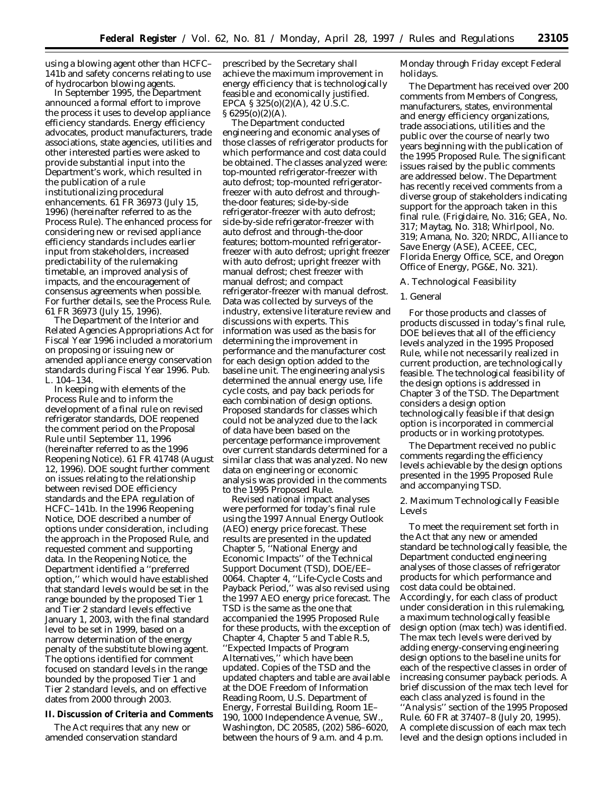using a blowing agent other than HCFC– 141b and safety concerns relating to use of hydrocarbon blowing agents.

In September 1995, the Department announced a formal effort to improve the process it uses to develop appliance efficiency standards. Energy efficiency advocates, product manufacturers, trade associations, state agencies, utilities and other interested parties were asked to provide substantial input into the Department's work, which resulted in the publication of a rule institutionalizing procedural enhancements. 61 FR 36973 (July 15, 1996) (hereinafter referred to as the Process Rule). The enhanced process for considering new or revised appliance efficiency standards includes earlier input from stakeholders, increased predictability of the rulemaking timetable, an improved analysis of impacts, and the encouragement of consensus agreements when possible. For further details, see the Process Rule. 61 FR 36973 (July 15, 1996).

The Department of the Interior and Related Agencies Appropriations Act for Fiscal Year 1996 included a moratorium on proposing or issuing new or amended appliance energy conservation standards during Fiscal Year 1996. Pub. L. 104–134.

In keeping with elements of the Process Rule and to inform the development of a final rule on revised refrigerator standards, DOE reopened the comment period on the Proposal Rule until September 11, 1996 (hereinafter referred to as the 1996 Reopening Notice). 61 FR 41748 (August 12, 1996). DOE sought further comment on issues relating to the relationship between revised DOE efficiency standards and the EPA regulation of HCFC–141b. In the 1996 Reopening Notice, DOE described a number of options under consideration, including the approach in the Proposed Rule, and requested comment and supporting data. In the Reopening Notice, the Department identified a ''preferred option,'' which would have established that standard levels would be set in the range bounded by the proposed Tier 1 and Tier 2 standard levels effective January 1, 2003, with the final standard level to be set in 1999, based on a narrow determination of the energy penalty of the substitute blowing agent. The options identified for comment focused on standard levels in the range bounded by the proposed Tier 1 and Tier 2 standard levels, and on effective dates from 2000 through 2003.

### **II. Discussion of Criteria and Comments**

The Act requires that any new or amended conservation standard

prescribed by the Secretary shall achieve the maximum improvement in energy efficiency that is technologically feasible and economically justified. EPCA §  $325(0)(2)(A)$ , 42 U.S.C.  $§ 6295(0)(2)(A).$ 

The Department conducted engineering and economic analyses of those classes of refrigerator products for which performance and cost data could be obtained. The classes analyzed were: top-mounted refrigerator-freezer with auto defrost; top-mounted refrigeratorfreezer with auto defrost and throughthe-door features; side-by-side refrigerator-freezer with auto defrost; side-by-side refrigerator-freezer with auto defrost and through-the-door features; bottom-mounted refrigeratorfreezer with auto defrost; upright freezer with auto defrost; upright freezer with manual defrost; chest freezer with manual defrost; and compact refrigerator-freezer with manual defrost. Data was collected by surveys of the industry, extensive literature review and discussions with experts. This information was used as the basis for determining the improvement in performance and the manufacturer cost for each design option added to the baseline unit. The engineering analysis determined the annual energy use, life cycle costs, and pay back periods for each combination of design options. Proposed standards for classes which could not be analyzed due to the lack of data have been based on the percentage performance improvement over current standards determined for a similar class that was analyzed. No new data on engineering or economic analysis was provided in the comments to the 1995 Proposed Rule.

Revised national impact analyses were performed for today's final rule using the 1997 *Annual Energy Outlook* (AEO) energy price forecast. These results are presented in the updated Chapter 5, ''National Energy and Economic Impacts'' of the Technical Support Document (TSD), DOE/EE– 0064. Chapter 4, ''Life-Cycle Costs and Payback Period,'' was also revised using the 1997 AEO energy price forecast. The TSD is the same as the one that accompanied the 1995 Proposed Rule for these products, with the exception of Chapter 4, Chapter 5 and Table R.5, ''Expected Impacts of Program Alternatives,'' which have been updated. Copies of the TSD and the updated chapters and table are available at the DOE Freedom of Information Reading Room, U.S. Department of Energy, Forrestal Building, Room 1E– 190, 1000 Independence Avenue, SW., Washington, DC 20585, (202) 586–6020, between the hours of 9 a.m. and 4 p.m.

Monday through Friday except Federal holidays.

The Department has received over 200 comments from Members of Congress, manufacturers, states, environmental and energy efficiency organizations, trade associations, utilities and the public over the course of nearly two years beginning with the publication of the 1995 Proposed Rule. The significant issues raised by the public comments are addressed below. The Department has recently received comments from a diverse group of stakeholders indicating support for the approach taken in this final rule. (Frigidaire, No. 316; GEA, No. 317; Maytag, No. 318; Whirlpool, No. 319; Amana, No. 320; NRDC, Alliance to Save Energy (ASE), ACEEE, CEC, Florida Energy Office, SCE, and Oregon Office of Energy, PG&E, No. 321).

#### *A. Technological Feasibility*

#### 1. General

For those products and classes of products discussed in today's final rule, DOE believes that all of the efficiency levels analyzed in the 1995 Proposed Rule, while not necessarily realized in current production, are technologically feasible. The technological feasibility of the design options is addressed in Chapter 3 of the TSD. The Department considers a design option technologically feasible if that design option is incorporated in commercial products or in working prototypes.

The Department received no public comments regarding the efficiency levels achievable by the design options presented in the 1995 Proposed Rule and accompanying TSD.

2. Maximum Technologically Feasible Levels

To meet the requirement set forth in the Act that any new or amended standard be technologically feasible, the Department conducted engineering analyses of those classes of refrigerator products for which performance and cost data could be obtained. Accordingly, for each class of product under consideration in this rulemaking, a maximum technologically feasible design option (max tech) was identified. The max tech levels were derived by adding energy-conserving engineering design options to the baseline units for each of the respective classes in order of increasing consumer payback periods. A brief discussion of the max tech level for each class analyzed is found in the ''Analysis'' section of the 1995 Proposed Rule. 60 FR at 37407–8 (July 20, 1995). A complete discussion of each max tech level and the design options included in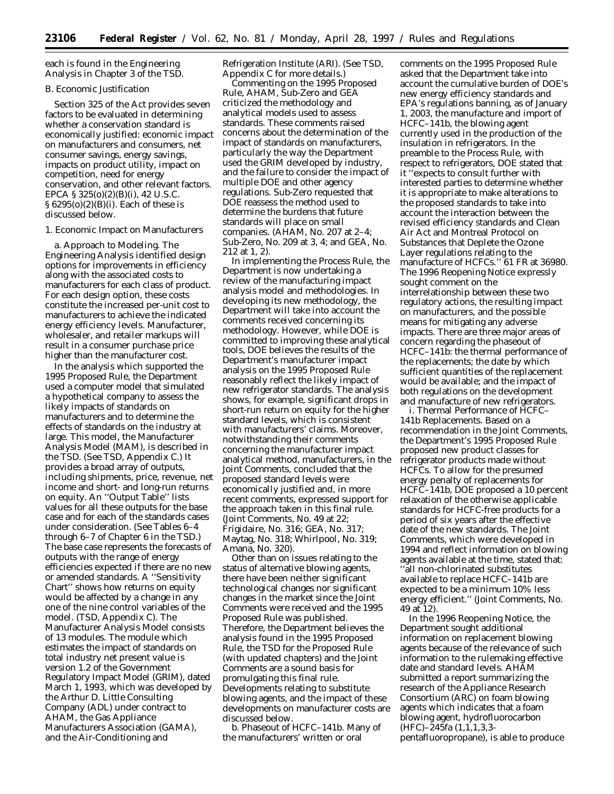each is found in the Engineering Analysis in Chapter 3 of the TSD.

### *B. Economic Justification*

Section 325 of the Act provides seven factors to be evaluated in determining whether a conservation standard is economically justified: economic impact on manufacturers and consumers, net consumer savings, energy savings, impacts on product utility, impact on competition, need for energy conservation, and other relevant factors. EPCA § 325(o)(2)(B)(i), 42 U.S.C. § 6295(o)(2)(B)(i). Each of these is discussed below.

## 1. Economic Impact on Manufacturers

a. Approach to Modeling. The Engineering Analysis identified design options for improvements in efficiency along with the associated costs to manufacturers for each class of product. For each design option, these costs constitute the increased per-unit cost to manufacturers to achieve the indicated energy efficiency levels. Manufacturer, wholesaler, and retailer markups will result in a consumer purchase price higher than the manufacturer cost.

In the analysis which supported the 1995 Proposed Rule, the Department used a computer model that simulated a hypothetical company to assess the likely impacts of standards on manufacturers and to determine the effects of standards on the industry at large. This model, the Manufacturer Analysis Model (MAM), is described in the TSD. (See TSD, Appendix C.) It provides a broad array of outputs, including shipments, price, revenue, net income and short- and long-run returns on equity. An ''Output Table'' lists values for all these outputs for the base case and for each of the standards cases under consideration. (See Tables 6–4 through 6–7 of Chapter 6 in the TSD.) The base case represents the forecasts of outputs with the range of energy efficiencies expected if there are no new or amended standards. A ''Sensitivity Chart'' shows how returns on equity would be affected by a change in any one of the nine control variables of the model. (TSD, Appendix C). The Manufacturer Analysis Model consists of 13 modules. The module which estimates the impact of standards on total industry net present value is version 1.2 of the Government Regulatory Impact Model (GRIM), dated March 1, 1993, which was developed by the Arthur D. Little Consulting Company (ADL) under contract to AHAM, the Gas Appliance Manufacturers Association (GAMA), and the Air-Conditioning and

Refrigeration Institute (ARI). (See TSD, Appendix C for more details.)

Commenting on the 1995 Proposed Rule, AHAM, Sub-Zero and GEA criticized the methodology and analytical models used to assess standards. These comments raised concerns about the determination of the impact of standards on manufacturers, particularly the way the Department used the GRIM developed by industry, and the failure to consider the impact of multiple DOE and other agency regulations. Sub-Zero requested that DOE reassess the method used to determine the burdens that future standards will place on small companies. (AHAM, No. 207 at 2–4; Sub-Zero, No. 209 at 3, 4; and GEA, No. 212 at 1, 2).

In implementing the Process Rule, the Department is now undertaking a review of the manufacturing impact analysis model and methodologies. In developing its new methodology, the Department will take into account the comments received concerning its methodology. However, while DOE is committed to improving these analytical tools, DOE believes the results of the Department's manufacturer impact analysis on the 1995 Proposed Rule reasonably reflect the likely impact of new refrigerator standards. The analysis shows, for example, significant drops in short-run return on equity for the higher standard levels, which is consistent with manufacturers' claims. Moreover, notwithstanding their comments concerning the manufacturer impact analytical method, manufacturers, in the Joint Comments, concluded that the proposed standard levels were economically justified and, in more recent comments, expressed support for the approach taken in this final rule. (Joint Comments, No. 49 at 22; Frigidaire, No. 316; GEA, No. 317; Maytag, No. 318; Whirlpool, No. 319; Amana, No. 320).

Other than on issues relating to the status of alternative blowing agents, there have been neither significant technological changes nor significant changes in the market since the Joint Comments were received and the 1995 Proposed Rule was published. Therefore, the Department believes the analysis found in the 1995 Proposed Rule, the TSD for the Proposed Rule (with updated chapters) and the Joint Comments are a sound basis for promulgating this final rule. Developments relating to substitute blowing agents, and the impact of these developments on manufacturer costs are discussed below.

b. Phaseout of HCFC–141b. Many of the manufacturers' written or oral

comments on the 1995 Proposed Rule asked that the Department take into account the cumulative burden of DOE's new energy efficiency standards and EPA's regulations banning, as of January 1, 2003, the manufacture and import of HCFC–141b, the blowing agent currently used in the production of the insulation in refrigerators. In the preamble to the Process Rule, with respect to refrigerators, DOE stated that it ''expects to consult further with interested parties to determine whether it is appropriate to make alterations to the proposed standards to take into account the interaction between the revised efficiency standards and Clean Air Act and Montreal Protocol on Substances that Deplete the Ozone Layer regulations relating to the manufacture of HCFCs.'' 61 FR at 36980. The 1996 Reopening Notice expressly sought comment on the interrelationship between these two regulatory actions, the resulting impact on manufacturers, and the possible means for mitigating any adverse impacts. There are three major areas of concern regarding the phaseout of HCFC–141b: the thermal performance of the replacements; the date by which sufficient quantities of the replacement would be available; and the impact of both regulations on the development and manufacture of new refrigerators.

i. Thermal Performance of HCFC– 141b Replacements. Based on a recommendation in the Joint Comments, the Department's 1995 Proposed Rule proposed new product classes for refrigerator products made without HCFCs. To allow for the presumed energy penalty of replacements for HCFC–141b, DOE proposed a 10 percent relaxation of the otherwise applicable standards for HCFC-free products for a period of six years after the effective date of the new standards. The Joint Comments, which were developed in 1994 and reflect information on blowing agents available at the time, stated that: ''all non-chlorinated substitutes available to replace HCFC–141b are expected to be a minimum 10% less energy efficient.'' (Joint Comments, No. 49 at 12).

In the 1996 Reopening Notice, the Department sought additional information on replacement blowing agents because of the relevance of such information to the rulemaking effective date and standard levels. AHAM submitted a report summarizing the research of the Appliance Research Consortium (ARC) on foam blowing agents which indicates that a foam blowing agent, hydrofluorocarbon (HFC)–245fa (1,1,1,3,3 pentafluoropropane), is able to produce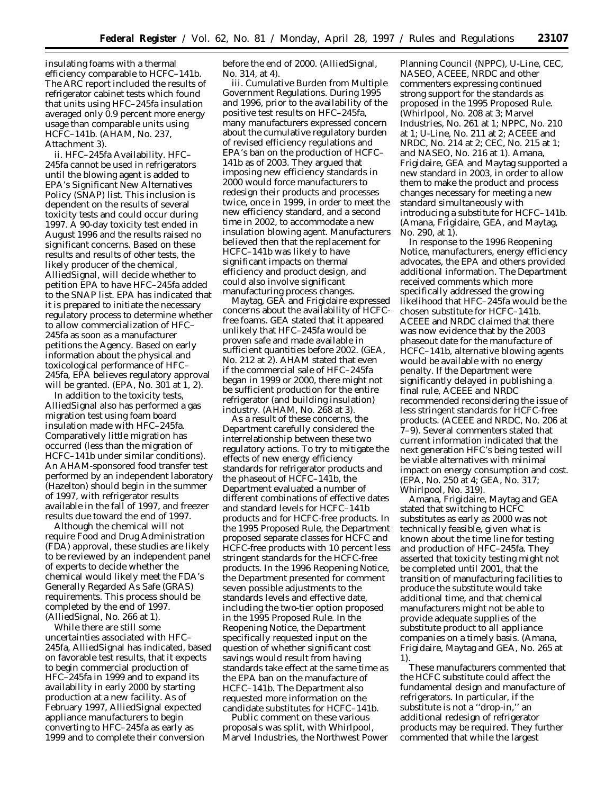insulating foams with a thermal efficiency comparable to HCFC–141b. The ARC report included the results of refrigerator cabinet tests which found that units using HFC–245fa insulation averaged only 0.9 percent more energy usage than comparable units using HCFC–141b. (AHAM, No. 237, Attachment 3).

ii. HFC–245fa Availability. HFC– 245fa cannot be used in refrigerators until the blowing agent is added to EPA's Significant New Alternatives Policy (SNAP) list. This inclusion is dependent on the results of several toxicity tests and could occur during 1997. A 90-day toxicity test ended in August 1996 and the results raised no significant concerns. Based on these results and results of other tests, the likely producer of the chemical, AlliedSignal, will decide whether to petition EPA to have HFC–245fa added to the SNAP list. EPA has indicated that it is prepared to initiate the necessary regulatory process to determine whether to allow commercialization of HFC– 245fa as soon as a manufacturer petitions the Agency. Based on early information about the physical and toxicological performance of HFC– 245fa, EPA believes regulatory approval will be granted. (EPA, No. 301 at 1, 2).

In addition to the toxicity tests, AlliedSignal also has performed a gas migration test using foam board insulation made with HFC–245fa. Comparatively little migration has occurred (less than the migration of HCFC–141b under similar conditions). An AHAM-sponsored food transfer test performed by an independent laboratory (Hazelton) should begin in the summer of 1997, with refrigerator results available in the fall of 1997, and freezer results due toward the end of 1997.

Although the chemical will not require Food and Drug Administration (FDA) approval, these studies are likely to be reviewed by an independent panel of experts to decide whether the chemical would likely meet the FDA's Generally Regarded As Safe (GRAS) requirements. This process should be completed by the end of 1997. (AlliedSignal, No. 266 at 1).

While there are still some uncertainties associated with HFC– 245fa, AlliedSignal has indicated, based on favorable test results, that it expects to begin commercial production of HFC–245fa in 1999 and to expand its availability in early 2000 by starting production at a new facility. As of February 1997, AlliedSignal expected appliance manufacturers to begin converting to HFC–245fa as early as 1999 and to complete their conversion

before the end of 2000. (AlliedSignal, No. 314, at 4).

iii. Cumulative Burden from Multiple Government Regulations. During 1995 and 1996, prior to the availability of the positive test results on HFC–245fa, many manufacturers expressed concern about the cumulative regulatory burden of revised efficiency regulations and EPA's ban on the production of HCFC– 141b as of 2003. They argued that imposing new efficiency standards in 2000 would force manufacturers to redesign their products and processes twice, once in 1999, in order to meet the new efficiency standard, and a second time in 2002, to accommodate a new insulation blowing agent. Manufacturers believed then that the replacement for HCFC–141b was likely to have significant impacts on thermal efficiency and product design, and could also involve significant manufacturing process changes.

Maytag, GEA and Frigidaire expressed concerns about the availability of HCFCfree foams. GEA stated that it appeared unlikely that HFC–245fa would be proven safe and made available in sufficient quantities before 2002. (GEA, No. 212 at 2). AHAM stated that even if the commercial sale of HFC–245fa began in 1999 or 2000, there might not be sufficient production for the entire refrigerator (and building insulation) industry. (AHAM, No. 268 at 3).

As a result of these concerns, the Department carefully considered the interrelationship between these two regulatory actions. To try to mitigate the effects of new energy efficiency standards for refrigerator products and the phaseout of HCFC–141b, the Department evaluated a number of different combinations of effective dates and standard levels for HCFC–141b products and for HCFC-free products. In the 1995 Proposed Rule, the Department proposed separate classes for HCFC and HCFC-free products with 10 percent less stringent standards for the HCFC-free products. In the 1996 Reopening Notice, the Department presented for comment seven possible adjustments to the standards levels and effective date, including the two-tier option proposed in the 1995 Proposed Rule. In the Reopening Notice, the Department specifically requested input on the question of whether significant cost savings would result from having standards take effect at the same time as the EPA ban on the manufacture of HCFC–141b. The Department also requested more information on the candidate substitutes for HCFC–141b.

Public comment on these various proposals was split, with Whirlpool, Marvel Industries, the Northwest Power Planning Council (NPPC), U-Line, CEC, NASEO, ACEEE, NRDC and other commenters expressing continued strong support for the standards as proposed in the 1995 Proposed Rule. (Whirlpool, No. 208 at 3; Marvel Industries, No. 261 at 1; NPPC, No. 210 at 1; U-Line, No. 211 at 2; ACEEE and NRDC, No. 214 at 2; CEC, No. 215 at 1; and NASEO, No. 216 at 1). Amana, Frigidaire, GEA and Maytag supported a new standard in 2003, in order to allow them to make the product and process changes necessary for meeting a new standard simultaneously with introducing a substitute for HCFC–141b. (Amana, Frigidaire, GEA, and Maytag, No. 290, at 1).

In response to the 1996 Reopening Notice, manufacturers, energy efficiency advocates, the EPA and others provided additional information. The Department received comments which more specifically addressed the growing likelihood that HFC–245fa would be the chosen substitute for HCFC–141b. ACEEE and NRDC claimed that there was now evidence that by the 2003 phaseout date for the manufacture of HCFC–141b, alternative blowing agents would be available with no energy penalty. If the Department were significantly delayed in publishing a final rule, ACEEE and NRDC recommended reconsidering the issue of less stringent standards for HCFC-free products. (ACEEE and NRDC, No. 206 at 7–9). Several commenters stated that current information indicated that the next generation HFC's being tested will be viable alternatives with minimal impact on energy consumption and cost. (EPA, No. 250 at 4; GEA, No. 317; Whirlpool, No. 319).

Amana, Frigidaire, Maytag and GEA stated that switching to HCFC substitutes as early as 2000 was not technically feasible, given what is known about the time line for testing and production of HFC–245fa. They asserted that toxicity testing might not be completed until 2001, that the transition of manufacturing facilities to produce the substitute would take additional time, and that chemical manufacturers might not be able to provide adequate supplies of the substitute product to all appliance companies on a timely basis. (Amana, Frigidaire, Maytag and GEA, No. 265 at 1).

These manufacturers commented that the HCFC substitute could affect the fundamental design and manufacture of refrigerators. In particular, if the substitute is not a "drop-in," an additional redesign of refrigerator products may be required. They further commented that while the largest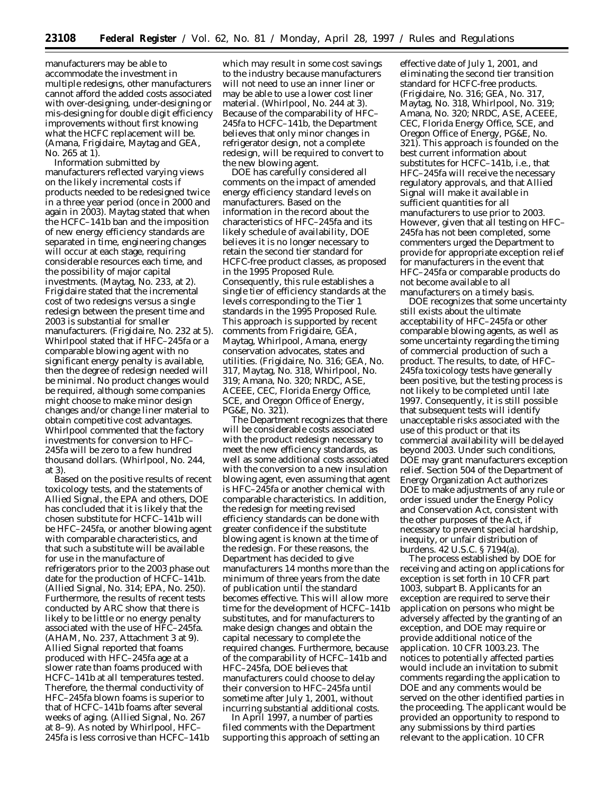manufacturers may be able to accommodate the investment in multiple redesigns, other manufacturers cannot afford the added costs associated with over-designing, under-designing or mis-designing for double digit efficiency improvements without first knowing what the HCFC replacement will be. (Amana, Frigidaire, Maytag and GEA, No. 265 at 1).

Information submitted by manufacturers reflected varying views on the likely incremental costs if products needed to be redesigned twice in a three year period (once in 2000 and again in 2003). Maytag stated that when the HCFC–141b ban and the imposition of new energy efficiency standards are separated in time, engineering changes will occur at each stage, requiring considerable resources each time, and the possibility of major capital investments. (Maytag, No. 233, at 2). Frigidaire stated that the incremental cost of two redesigns versus a single redesign between the present time and 2003 is substantial for smaller manufacturers. (Frigidaire, No. 232 at 5). Whirlpool stated that if HFC–245fa or a comparable blowing agent with no significant energy penalty is available, then the degree of redesign needed will be minimal. No product changes would be required, although some companies might choose to make minor design changes and/or change liner material to obtain competitive cost advantages. Whirlpool commented that the factory investments for conversion to HFC– 245fa will be zero to a few hundred thousand dollars. (Whirlpool, No. 244, at 3).

Based on the positive results of recent toxicology tests, and the statements of Allied Signal, the EPA and others, DOE has concluded that it is likely that the chosen substitute for HCFC–141b will be HFC–245fa, or another blowing agent with comparable characteristics, and that such a substitute will be available for use in the manufacture of refrigerators prior to the 2003 phase out date for the production of HCFC–141b. (Allied Signal, No. 314; EPA, No. 250). Furthermore, the results of recent tests conducted by ARC show that there is likely to be little or no energy penalty associated with the use of HFC–245fa. (AHAM, No. 237, Attachment 3 at 9). Allied Signal reported that foams produced with HFC–245fa age at a slower rate than foams produced with HCFC–141b at all temperatures tested. Therefore, the thermal conductivity of HFC–245fa blown foams is superior to that of HCFC–141b foams after several weeks of aging. (Allied Signal, No. 267 at 8–9). As noted by Whirlpool, HFC– 245fa is less corrosive than HCFC–141b

which may result in some cost savings to the industry because manufacturers will not need to use an inner liner or may be able to use a lower cost liner material. (Whirlpool, No. 244 at 3). Because of the comparability of HFC– 245fa to HCFC–141b, the Department believes that only minor changes in refrigerator design, not a complete redesign, will be required to convert to the new blowing agent.

DOE has carefully considered all comments on the impact of amended energy efficiency standard levels on manufacturers. Based on the information in the record about the characteristics of HFC–245fa and its likely schedule of availability, DOE believes it is no longer necessary to retain the second tier standard for HCFC-free product classes, as proposed in the 1995 Proposed Rule. Consequently, this rule establishes a single tier of efficiency standards at the levels corresponding to the Tier 1 standards in the 1995 Proposed Rule. This approach is supported by recent comments from Frigidaire, GEA, Maytag, Whirlpool, Amana, energy conservation advocates, states and utilities. (Frigidaire, No. 316; GEA, No. 317, Maytag, No. 318, Whirlpool, No. 319; Amana, No. 320; NRDC, ASE, ACEEE, CEC, Florida Energy Office, SCE, and Oregon Office of Energy, PG&E, No. 321).

The Department recognizes that there will be considerable costs associated with the product redesign necessary to meet the new efficiency standards, as well as some additional costs associated with the conversion to a new insulation blowing agent, even assuming that agent is HFC–245fa or another chemical with comparable characteristics. In addition, the redesign for meeting revised efficiency standards can be done with greater confidence if the substitute blowing agent is known at the time of the redesign. For these reasons, the Department has decided to give manufacturers 14 months more than the minimum of three years from the date of publication until the standard becomes effective. This will allow more time for the development of HCFC–141b substitutes, and for manufacturers to make design changes and obtain the capital necessary to complete the required changes. Furthermore, because of the comparability of HCFC–141b and HFC–245fa, DOE believes that manufacturers could choose to delay their conversion to HFC–245fa until sometime after July 1, 2001, without incurring substantial additional costs.

In April 1997, a number of parties filed comments with the Department supporting this approach of setting an

effective date of July 1, 2001, and eliminating the second tier transition standard for HCFC-free products. (Frigidaire, No. 316; GEA, No. 317, Maytag, No. 318, Whirlpool, No. 319; Amana, No. 320; NRDC, ASE, ACEEE, CEC, Florida Energy Office, SCE, and Oregon Office of Energy, PG&E, No. 321). This approach is founded on the best current information about substitutes for HCFC–141b, i.e., that HFC–245fa will receive the necessary regulatory approvals, and that Allied Signal will make it available in sufficient quantities for all manufacturers to use prior to 2003. However, given that all testing on HFC– 245fa has not been completed, some commenters urged the Department to provide for appropriate exception relief for manufacturers in the event that HFC–245fa or comparable products do not become available to all manufacturers on a timely basis.

DOE recognizes that some uncertainty still exists about the ultimate acceptability of HFC–245fa or other comparable blowing agents, as well as some uncertainty regarding the timing of commercial production of such a product. The results, to date, of HFC– 245fa toxicology tests have generally been positive, but the testing process is not likely to be completed until late 1997. Consequently, it is still possible that subsequent tests will identify unacceptable risks associated with the use of this product or that its commercial availability will be delayed beyond 2003. Under such conditions, DOE may grant manufacturers exception relief. Section 504 of the Department of Energy Organization Act authorizes DOE to make adjustments of any rule or order issued under the Energy Policy and Conservation Act, consistent with the other purposes of the Act, if necessary to prevent special hardship, inequity, or unfair distribution of burdens. 42 U.S.C. § 7194(a).

The process established by DOE for receiving and acting on applications for exception is set forth in 10 CFR part 1003, subpart B. Applicants for an exception are required to serve their application on persons who might be adversely affected by the granting of an exception, and DOE may require or provide additional notice of the application. 10 CFR 1003.23. The notices to potentially affected parties would include an invitation to submit comments regarding the application to DOE and any comments would be served on the other identified parties in the proceeding. The applicant would be provided an opportunity to respond to any submissions by third parties relevant to the application. 10 CFR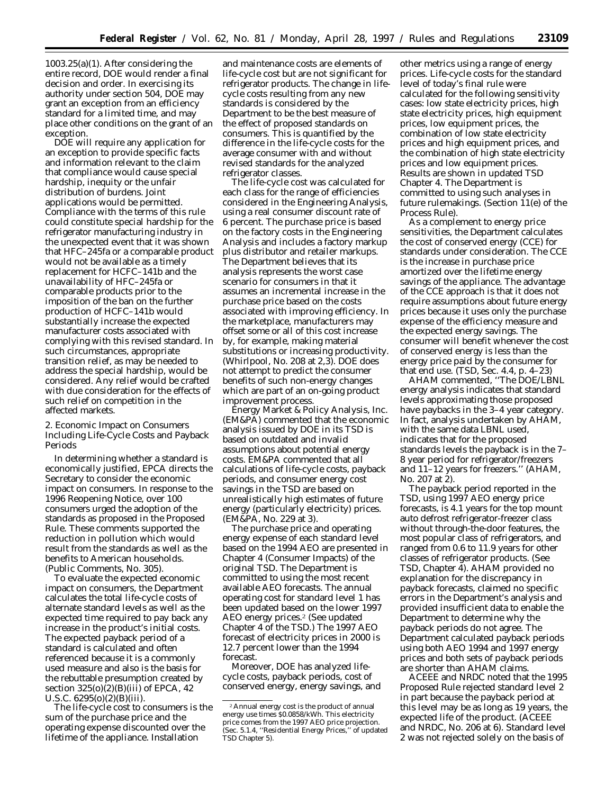1003.25(a)(1). After considering the entire record, DOE would render a final decision and order. In exercising its authority under section 504, DOE may grant an exception from an efficiency standard for a limited time, and may place other conditions on the grant of an exception.

DOE will require any application for an exception to provide specific facts and information relevant to the claim that compliance would cause special hardship, inequity or the unfair distribution of burdens. Joint applications would be permitted. Compliance with the terms of this rule could constitute special hardship for the refrigerator manufacturing industry in the unexpected event that it was shown that HFC–245fa or a comparable product would not be available as a timely replacement for HCFC–141b and the unavailability of HFC–245fa or comparable products prior to the imposition of the ban on the further production of HCFC–141b would substantially increase the expected manufacturer costs associated with complying with this revised standard. In such circumstances, appropriate transition relief, as may be needed to address the special hardship, would be considered. Any relief would be crafted with due consideration for the effects of such relief on competition in the affected markets.

2. Economic Impact on Consumers Including Life-Cycle Costs and Payback Periods

In determining whether a standard is economically justified, EPCA directs the Secretary to consider the economic impact on consumers. In response to the 1996 Reopening Notice, over 100 consumers urged the adoption of the standards as proposed in the Proposed Rule. These comments supported the reduction in pollution which would result from the standards as well as the benefits to American households. (Public Comments, No. 305).

To evaluate the expected economic impact on consumers, the Department calculates the total life-cycle costs of alternate standard levels as well as the expected time required to pay back any increase in the product's initial costs. The expected payback period of a standard is calculated and often referenced because it is a commonly used measure and also is the basis for the rebuttable presumption created by section  $325(0)(\overline{2})(B)(iii)$  of EPCA, 42 U.S.C. 6295(o)(2)(B)(iii).

The life-cycle cost to consumers is the sum of the purchase price and the operating expense discounted over the lifetime of the appliance. Installation

and maintenance costs are elements of life-cycle cost but are not significant for refrigerator products. The change in lifecycle costs resulting from any new standards is considered by the Department to be the best measure of the effect of proposed standards on consumers. This is quantified by the difference in the life-cycle costs for the average consumer with and without revised standards for the analyzed refrigerator classes.

The life-cycle cost was calculated for each class for the range of efficiencies considered in the Engineering Analysis, using a real consumer discount rate of 6 percent. The purchase price is based on the factory costs in the Engineering Analysis and includes a factory markup plus distributor and retailer markups. The Department believes that its analysis represents the worst case scenario for consumers in that it assumes an incremental increase in the purchase price based on the costs associated with improving efficiency. In the marketplace, manufacturers may offset some or all of this cost increase by, for example, making material substitutions or increasing productivity. (Whirlpool, No. 208 at 2,3). DOE does not attempt to predict the consumer benefits of such non-energy changes which are part of an on-going product improvement process.

Energy Market & Policy Analysis, Inc. (EM&PA) commented that the economic analysis issued by DOE in its TSD is based on outdated and invalid assumptions about potential energy costs. EM&PA commented that all calculations of life-cycle costs, payback periods, and consumer energy cost savings in the TSD are based on unrealistically high estimates of future energy (particularly electricity) prices. (EM&PA, No. 229 at 3).

The purchase price and operating energy expense of each standard level based on the 1994 AEO are presented in Chapter 4 (Consumer Impacts) of the original TSD. The Department is committed to using the most recent available AEO forecasts. The annual operating cost for standard level 1 has been updated based on the lower 1997 AEO energy prices.2 (See updated Chapter 4 of the TSD.) The 1997 AEO forecast of electricity prices in 2000 is 12.7 percent lower than the 1994 forecast.

Moreover, DOE has analyzed lifecycle costs, payback periods, cost of conserved energy, energy savings, and

other metrics using a range of energy prices. Life-cycle costs for the standard level of today's final rule were calculated for the following sensitivity cases: low state electricity prices, high state electricity prices, high equipment prices, low equipment prices, the combination of low state electricity prices and high equipment prices, and the combination of high state electricity prices and low equipment prices. Results are shown in updated TSD Chapter 4. The Department is committed to using such analyses in future rulemakings. (Section 11(e) of the Process Rule).

As a complement to energy price sensitivities, the Department calculates the cost of conserved energy (CCE) for standards under consideration. The CCE is the increase in purchase price amortized over the lifetime energy savings of the appliance. The advantage of the CCE approach is that it does not require assumptions about future energy prices because it uses only the purchase expense of the efficiency measure and the expected energy savings. The consumer will benefit whenever the cost of conserved energy is less than the energy price paid by the consumer for that end use. (TSD, Sec. 4.4, p. 4–23)

AHAM commented, ''The DOE/LBNL energy analysis indicates that standard levels approximating those proposed have paybacks in the 3–4 year category. In fact, analysis undertaken by AHAM, with the same data LBNL used, indicates that for the proposed standards levels the payback is in the 7– 8 year period for refrigerator/freezers and 11–12 years for freezers.'' (AHAM, No. 207 at 2).

The payback period reported in the TSD, using 1997 AEO energy price forecasts, is 4.1 years for the top mount auto defrost refrigerator-freezer class without through-the-door features, the most popular class of refrigerators, and ranged from 0.6 to 11.9 years for other classes of refrigerator products. (See TSD, Chapter 4). AHAM provided no explanation for the discrepancy in payback forecasts, claimed no specific errors in the Department's analysis and provided insufficient data to enable the Department to determine why the payback periods do not agree. The Department calculated payback periods using both AEO 1994 and 1997 energy prices and both sets of payback periods are shorter than AHAM claims.

ACEEE and NRDC noted that the 1995 Proposed Rule rejected standard level 2 in part because the payback period at this level may be as long as 19 years, the expected life of the product. (ACEEE and NRDC, No. 206 at 6). Standard level 2 was not rejected solely on the basis of

<sup>2</sup>Annual energy cost is the product of annual energy use times \$0.0858/kWh. This electricity price comes from the 1997 AEO price projection. (Sec. 5.1.4, ''Residential Energy Prices,'' of updated TSD Chapter 5).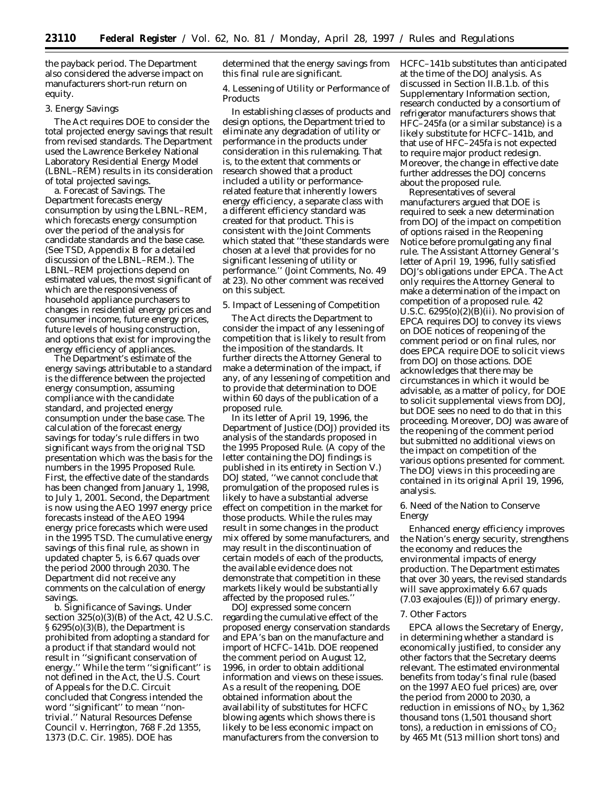the payback period. The Department also considered the adverse impact on manufacturers short-run return on equity.

### 3. Energy Savings

The Act requires DOE to consider the total projected energy savings that result from revised standards. The Department used the Lawrence Berkeley National Laboratory Residential Energy Model (LBNL–REM) results in its consideration of total projected savings.

a. Forecast of Savings. The Department forecasts energy consumption by using the LBNL–REM, which forecasts energy consumption over the period of the analysis for candidate standards and the base case. (See TSD, Appendix B for a detailed discussion of the LBNL–REM.). The LBNL–REM projections depend on estimated values, the most significant of which are the responsiveness of household appliance purchasers to changes in residential energy prices and consumer income, future energy prices, future levels of housing construction, and options that exist for improving the energy efficiency of appliances.

The Department's estimate of the energy savings attributable to a standard is the difference between the projected energy consumption, assuming compliance with the candidate standard, and projected energy consumption under the base case. The calculation of the forecast energy savings for today's rule differs in two significant ways from the original TSD presentation which was the basis for the numbers in the 1995 Proposed Rule. First, the effective date of the standards has been changed from January 1, 1998, to July 1, 2001. Second, the Department is now using the AEO 1997 energy price forecasts instead of the AEO 1994 energy price forecasts which were used in the 1995 TSD. The cumulative energy savings of this final rule, as shown in updated chapter 5, is 6.67 quads over the period 2000 through 2030. The Department did not receive any comments on the calculation of energy savings.

b. Significance of Savings. Under section 325(o)(3)(B) of the Act, 42 U.S.C. § 6295(o)(3)(B), the Department is prohibited from adopting a standard for a product if that standard would not result in ''significant conservation of energy." While the term "significant" is not defined in the Act, the U.S. Court of Appeals for the D.C. Circuit concluded that Congress intended the word ''significant'' to mean ''nontrivial.'' *Natural Resources Defense Council* v. *Herrington,* 768 F.2d 1355, 1373 (D.C. Cir. 1985). DOE has

determined that the energy savings from this final rule are significant.

4. Lessening of Utility or Performance of **Products** 

In establishing classes of products and design options, the Department tried to eliminate any degradation of utility or performance in the products under consideration in this rulemaking. That is, to the extent that comments or research showed that a product included a utility or performancerelated feature that inherently lowers energy efficiency, a separate class with a different efficiency standard was created for that product. This is consistent with the Joint Comments which stated that ''these standards were chosen at a level that provides for no significant lessening of utility or performance.'' (Joint Comments, No. 49 at 23). No other comment was received on this subject.

#### 5. Impact of Lessening of Competition

The Act directs the Department to consider the impact of any lessening of competition that is likely to result from the imposition of the standards. It further directs the Attorney General to make a determination of the impact, if any, of any lessening of competition and to provide that determination to DOE within 60 days of the publication of a proposed rule.

In its letter of April 19, 1996, the Department of Justice (DOJ) provided its analysis of the standards proposed in the 1995 Proposed Rule. (A copy of the letter containing the DOJ findings is published in its entirety in Section V.) DOJ stated, ''we cannot conclude that promulgation of the proposed rules is likely to have a substantial adverse effect on competition in the market for those products. While the rules may result in some changes in the product mix offered by some manufacturers, and may result in the discontinuation of certain models of each of the products, the available evidence does not demonstrate that competition in these markets likely would be substantially affected by the proposed rules.''

DOJ expressed some concern regarding the cumulative effect of the proposed energy conservation standards and EPA's ban on the manufacture and import of HCFC–141b. DOE reopened the comment period on August 12, 1996, in order to obtain additional information and views on these issues. As a result of the reopening, DOE obtained information about the availability of substitutes for HCFC blowing agents which shows there is likely to be less economic impact on manufacturers from the conversion to

HCFC–141b substitutes than anticipated at the time of the DOJ analysis. As discussed in Section II.B.1.b. of this Supplementary Information section, research conducted by a consortium of refrigerator manufacturers shows that HFC–245fa (or a similar substance) is a likely substitute for HCFC–141b, and that use of HFC–245fa is not expected to require major product redesign. Moreover, the change in effective date further addresses the DOJ concerns about the proposed rule.

Representatives of several manufacturers argued that DOE is required to seek a new determination from DOJ of the impact on competition of options raised in the Reopening Notice before promulgating any final rule. The Assistant Attorney General's letter of April 19, 1996, fully satisfied DOJ's obligations under EPCA. The Act only requires the Attorney General to make a determination of the impact on competition of a proposed rule. 42 U.S.C.  $6295(0)(2)(B)(ii)$ . No provision of EPCA requires DOJ to convey its views on DOE notices of reopening of the comment period or on final rules, nor does EPCA require DOE to solicit views from DOJ on those actions. DOE acknowledges that there may be circumstances in which it would be advisable, as a matter of policy, for DOE to solicit supplemental views from DOJ, but DOE sees no need to do that in this proceeding. Moreover, DOJ was aware of the reopening of the comment period but submitted no additional views on the impact on competition of the various options presented for comment. The DOJ views in this proceeding are contained in its original April 19, 1996, analysis.

### 6. Need of the Nation to Conserve Energy

Enhanced energy efficiency improves the Nation's energy security, strengthens the economy and reduces the environmental impacts of energy production. The Department estimates that over 30 years, the revised standards will save approximately 6.67 quads (7.03 exajoules (EJ)) of primary energy.

## 7. Other Factors

EPCA allows the Secretary of Energy, in determining whether a standard is economically justified, to consider any other factors that the Secretary deems relevant. The estimated environmental benefits from today's final rule (based on the 1997 AEO fuel prices) are, over the period from 2000 to 2030, a reduction in emissions of  $NO<sub>x</sub>$  by 1,362 thousand tons (1,501 thousand short tons), a reduction in emissions of  $CO<sub>2</sub>$ by 465 Mt (513 million short tons) and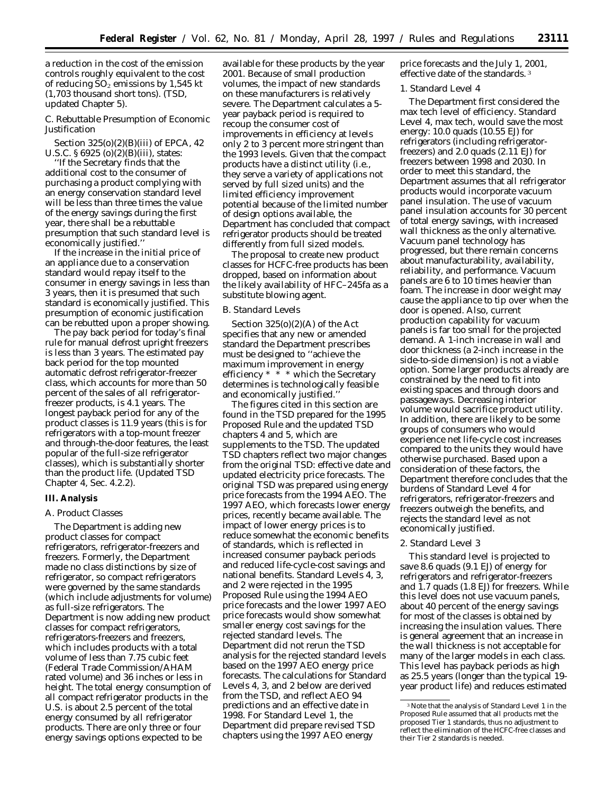a reduction in the cost of the emission controls roughly equivalent to the cost of reducing  $SO_2$  emissions by 1,545 kt (1,703 thousand short tons). (TSD, updated Chapter 5).

## *C. Rebuttable Presumption of Economic Justification*

Section 325(o)(2)(B)(iii) of EPCA, 42 U.S.C. § 6925 (o)(2)(B)(iii), states:

''If the Secretary finds that the additional cost to the consumer of purchasing a product complying with an energy conservation standard level will be less than three times the value of the energy savings during the first year, there shall be a rebuttable presumption that such standard level is economically justified.''

If the increase in the initial price of an appliance due to a conservation standard would repay itself to the consumer in energy savings in less than 3 years, then it is presumed that such standard is economically justified. This presumption of economic justification can be rebutted upon a proper showing.

The pay back period for today's final rule for manual defrost upright freezers is less than 3 years. The estimated pay back period for the top mounted automatic defrost refrigerator-freezer class, which accounts for more than 50 percent of the sales of all refrigeratorfreezer products, is 4.1 years. The longest payback period for any of the product classes is 11.9 years (this is for refrigerators with a top-mount freezer and through-the-door features, the least popular of the full-size refrigerator classes), which is substantially shorter than the product life. (Updated TSD Chapter 4, Sec. 4.2.2).

### **III. Analysis**

#### *A. Product Classes*

The Department is adding new product classes for compact refrigerators, refrigerator-freezers and freezers. Formerly, the Department made no class distinctions by size of refrigerator, so compact refrigerators were governed by the same standards (which include adjustments for volume) as full-size refrigerators. The Department is now adding new product classes for compact refrigerators, refrigerators-freezers and freezers, which includes products with a total volume of less than 7.75 cubic feet (Federal Trade Commission/AHAM rated volume) and 36 inches or less in height. The total energy consumption of all compact refrigerator products in the U.S. is about 2.5 percent of the total energy consumed by all refrigerator products. There are only three or four energy savings options expected to be

available for these products by the year 2001. Because of small production volumes, the impact of new standards on these manufacturers is relatively severe. The Department calculates a 5 year payback period is required to recoup the consumer cost of improvements in efficiency at levels only 2 to 3 percent more stringent than the 1993 levels. Given that the compact products have a distinct utility (i.e., they serve a variety of applications not served by full sized units) and the limited efficiency improvement potential because of the limited number of design options available, the Department has concluded that compact refrigerator products should be treated differently from full sized models.

The proposal to create new product classes for HCFC-free products has been dropped, based on information about the likely availability of HFC–245fa as a substitute blowing agent.

#### *B. Standard Levels*

Section 325(o)(2)(A) of the Act specifies that any new or amended standard the Department prescribes must be designed to ''achieve the maximum improvement in energy efficiency  $* * *$  which the Secretary determines is technologically feasible and economically justified.''

The figures cited in this section are found in the TSD prepared for the 1995 Proposed Rule and the updated TSD chapters 4 and 5, which are supplements to the TSD. The updated TSD chapters reflect two major changes from the original TSD: effective date and updated electricity price forecasts. The original TSD was prepared using energy price forecasts from the 1994 AEO. The 1997 AEO, which forecasts lower energy prices, recently became available. The impact of lower energy prices is to reduce somewhat the economic benefits of standards, which is reflected in increased consumer payback periods and reduced life-cycle-cost savings and national benefits. Standard Levels 4, 3, and 2 were rejected in the 1995 Proposed Rule using the 1994 AEO price forecasts and the lower 1997 AEO price forecasts would show somewhat smaller energy cost savings for the rejected standard levels. The Department did not rerun the TSD analysis for the rejected standard levels based on the 1997 AEO energy price forecasts. The calculations for Standard Levels 4, 3, and 2 below are derived from the TSD, and reflect AEO 94 predictions and an effective date in 1998. For Standard Level 1, the Department did prepare revised TSD chapters using the 1997 AEO energy

price forecasts and the July 1, 2001, effective date of the standards. 3

#### 1. Standard Level 4

The Department first considered the max tech level of efficiency. Standard Level 4, max tech, would save the most energy: 10.0 quads (10.55 EJ) for refrigerators (including refrigeratorfreezers) and 2.0 quads (2.11 EJ) for freezers between 1998 and 2030. In order to meet this standard, the Department assumes that all refrigerator products would incorporate vacuum panel insulation. The use of vacuum panel insulation accounts for 30 percent of total energy savings, with increased wall thickness as the only alternative. Vacuum panel technology has progressed, but there remain concerns about manufacturability, availability, reliability, and performance. Vacuum panels are 6 to 10 times heavier than foam. The increase in door weight may cause the appliance to tip over when the door is opened. Also, current production capability for vacuum panels is far too small for the projected demand. A 1-inch increase in wall and door thickness (a 2-inch increase in the side-to-side dimension) is not a viable option. Some larger products already are constrained by the need to fit into existing spaces and through doors and passageways. Decreasing interior volume would sacrifice product utility. In addition, there are likely to be some groups of consumers who would experience net life-cycle cost increases compared to the units they would have otherwise purchased. Based upon a consideration of these factors, the Department therefore concludes that the burdens of Standard Level 4 for refrigerators, refrigerator-freezers and freezers outweigh the benefits, and rejects the standard level as not economically justified.

### 2. Standard Level 3

This standard level is projected to save 8.6 quads (9.1 EJ) of energy for refrigerators and refrigerator-freezers and 1.7 quads (1.8 EJ) for freezers. While this level does not use vacuum panels, about 40 percent of the energy savings for most of the classes is obtained by increasing the insulation values. There is general agreement that an increase in the wall thickness is not acceptable for many of the larger models in each class. This level has payback periods as high as 25.5 years (longer than the typical 19 year product life) and reduces estimated

<sup>3</sup>Note that the analysis of Standard Level 1 in the Proposed Rule assumed that all products met the proposed Tier 1 standards, thus no adjustment to reflect the elimination of the HCFC-free classes and their Tier 2 standards is needed.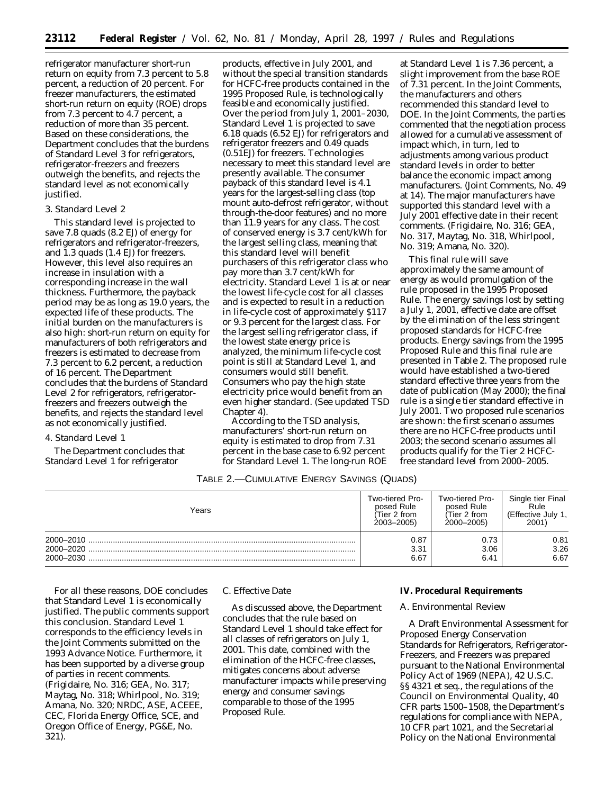refrigerator manufacturer short-run return on equity from 7.3 percent to 5.8 percent, a reduction of 20 percent. For freezer manufacturers, the estimated short-run return on equity (ROE) drops from 7.3 percent to 4.7 percent, a reduction of more than 35 percent. Based on these considerations, the Department concludes that the burdens of Standard Level 3 for refrigerators, refrigerator-freezers and freezers outweigh the benefits, and rejects the standard level as not economically justified.

## 3. Standard Level 2

This standard level is projected to save 7.8 quads (8.2 EJ) of energy for refrigerators and refrigerator-freezers, and 1.3 quads (1.4 EJ) for freezers. However, this level also requires an increase in insulation with a corresponding increase in the wall thickness. Furthermore, the payback period may be as long as 19.0 years, the expected life of these products. The initial burden on the manufacturers is also high: short-run return on equity for manufacturers of both refrigerators and freezers is estimated to decrease from 7.3 percent to 6.2 percent, a reduction of 16 percent. The Department concludes that the burdens of Standard Level 2 for refrigerators, refrigeratorfreezers and freezers outweigh the benefits, and rejects the standard level as not economically justified.

#### 4. Standard Level 1

The Department concludes that Standard Level 1 for refrigerator

products, effective in July 2001, and without the special transition standards for HCFC-free products contained in the 1995 Proposed Rule, is technologically feasible and economically justified. Over the period from July 1, 2001–2030, Standard Level 1 is projected to save 6.18 quads (6.52 EJ) for refrigerators and refrigerator freezers and 0.49 quads (0.51EJ) for freezers. Technologies necessary to meet this standard level are presently available. The consumer payback of this standard level is 4.1 years for the largest-selling class (top mount auto-defrost refrigerator, without through-the-door features) and no more than 11.9 years for any class. The cost of conserved energy is 3.7 cent/kWh for the largest selling class, meaning that this standard level will benefit purchasers of this refrigerator class who pay more than 3.7 cent/kWh for electricity. Standard Level 1 is at or near the lowest life-cycle cost for all classes and is expected to result in a reduction in life-cycle cost of approximately \$117 or 9.3 percent for the largest class. For the largest selling refrigerator class, if the lowest state energy price is analyzed, the minimum life-cycle cost point is still at Standard Level 1, and consumers would still benefit. Consumers who pay the high state electricity price would benefit from an even higher standard. (See updated TSD Chapter 4).

According to the TSD analysis, manufacturers' short-run return on equity is estimated to drop from 7.31 percent in the base case to 6.92 percent for Standard Level 1. The long-run ROE

at Standard Level 1 is 7.36 percent, a slight improvement from the base ROE of 7.31 percent. In the Joint Comments, the manufacturers and others recommended this standard level to DOE. In the Joint Comments, the parties commented that the negotiation process allowed for a cumulative assessment of impact which, in turn, led to adjustments among various product standard levels in order to better balance the economic impact among manufacturers. (Joint Comments, No. 49 at 14). The major manufacturers have supported this standard level with a July 2001 effective date in their recent comments. (Frigidaire, No. 316; GEA, No. 317, Maytag, No. 318, Whirlpool, No. 319; Amana, No. 320).

This final rule will save approximately the same amount of energy as would promulgation of the rule proposed in the 1995 Proposed Rule. The energy savings lost by setting a July 1, 2001, effective date are offset by the elimination of the less stringent proposed standards for HCFC-free products. Energy savings from the 1995 Proposed Rule and this final rule are presented in Table 2. The proposed rule would have established a two-tiered standard effective three years from the date of publication (May 2000); the final rule is a single tier standard effective in July 2001. Two proposed rule scenarios are shown: the first scenario assumes there are no HCFC-free products until 2003; the second scenario assumes all products qualify for the Tier 2 HCFCfree standard level from 2000–2005.

## TABLE 2.—CUMULATIVE ENERGY SAVINGS (QUADS)

| Years                               | Two-tiered Pro-      | Two-tiered Pro-      | Single tier Final    |
|-------------------------------------|----------------------|----------------------|----------------------|
|                                     | posed Rule           | posed Rule           | Rule                 |
|                                     | (Tier 2 from         | (Tier 2 from         | (Effective July 1,   |
|                                     | 2003-2005)           | 2000-2005)           | 2001)                |
| 2000-2010<br>2000–2020<br>2000-2030 | 0.87<br>3.31<br>6.67 | 0.73<br>3.06<br>6.41 | 0.81<br>3.26<br>6.67 |

For all these reasons, DOE concludes that Standard Level 1 is economically justified. The public comments support this conclusion. Standard Level 1 corresponds to the efficiency levels in the Joint Comments submitted on the 1993 Advance Notice. Furthermore, it has been supported by a diverse group of parties in recent comments. (Frigidaire, No. 316; GEA, No. 317; Maytag, No. 318; Whirlpool, No. 319; Amana, No. 320; NRDC, ASE, ACEEE, CEC, Florida Energy Office, SCE, and Oregon Office of Energy, PG&E, No. 321).

### *C. Effective Date*

As discussed above, the Department concludes that the rule based on Standard Level 1 should take effect for all classes of refrigerators on July 1, 2001. This date, combined with the elimination of the HCFC-free classes, mitigates concerns about adverse manufacturer impacts while preserving energy and consumer savings comparable to those of the 1995 Proposed Rule.

### **IV. Procedural Requirements**

#### *A. Environmental Review*

A Draft Environmental Assessment for Proposed Energy Conservation Standards for Refrigerators, Refrigerator-Freezers, and Freezers was prepared pursuant to the National Environmental Policy Act of 1969 (NEPA), 42 U.S.C. §§ 4321 et seq., the regulations of the Council on Environmental Quality, 40 CFR parts 1500–1508, the Department's regulations for compliance with NEPA, 10 CFR part 1021, and the Secretarial Policy on the National Environmental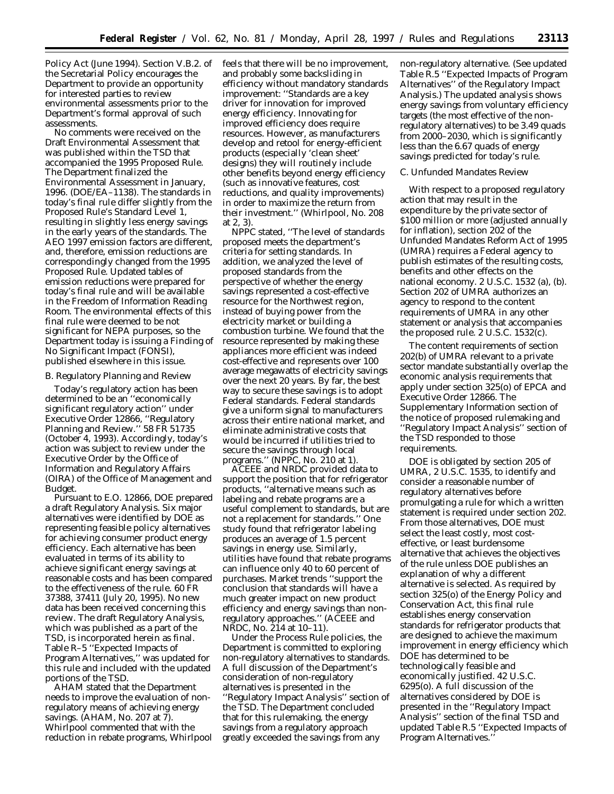Policy Act (June 1994). Section V.B.2. of the Secretarial Policy encourages the Department to provide an opportunity for interested parties to review environmental assessments prior to the Department's formal approval of such assessments.

No comments were received on the Draft Environmental Assessment that was published within the TSD that accompanied the 1995 Proposed Rule. The Department finalized the Environmental Assessment in January, 1996. (DOE/EA–1138). The standards in today's final rule differ slightly from the Proposed Rule's Standard Level 1, resulting in slightly less energy savings in the early years of the standards. The AEO 1997 emission factors are different, and, therefore, emission reductions are correspondingly changed from the 1995 Proposed Rule. Updated tables of emission reductions were prepared for today's final rule and will be available in the Freedom of Information Reading Room. The environmental effects of this final rule were deemed to be not significant for NEPA purposes, so the Department today is issuing a Finding of No Significant Impact (FONSI), published elsewhere in this issue.

#### *B. Regulatory Planning and Review*

Today's regulatory action has been determined to be an ''economically significant regulatory action'' under Executive Order 12866, ''Regulatory Planning and Review.'' 58 FR 51735 (October 4, 1993). Accordingly, today's action was subject to review under the Executive Order by the Office of Information and Regulatory Affairs (OIRA) of the Office of Management and Budget.

Pursuant to E.O. 12866, DOE prepared a draft Regulatory Analysis. Six major alternatives were identified by DOE as representing feasible policy alternatives for achieving consumer product energy efficiency. Each alternative has been evaluated in terms of its ability to achieve significant energy savings at reasonable costs and has been compared to the effectiveness of the rule. 60 FR 37388, 37411 (July 20, 1995). No new data has been received concerning this review. The draft Regulatory Analysis, which was published as a part of the TSD, is incorporated herein as final. Table R–5 ''Expected Impacts of Program Alternatives,'' was updated for this rule and included with the updated portions of the TSD.

AHAM stated that the Department needs to improve the evaluation of nonregulatory means of achieving energy savings. (AHAM, No. 207 at 7). Whirlpool commented that with the reduction in rebate programs, Whirlpool feels that there will be no improvement, and probably some backsliding in efficiency without mandatory standards improvement: ''Standards are a key driver for innovation for improved energy efficiency. Innovating for improved efficiency does require resources. However, as manufacturers develop and retool for energy-efficient products (especially 'clean sheet' designs) they will routinely include other benefits beyond energy efficiency (such as innovative features, cost reductions, and quality improvements) in order to maximize the return from their investment.'' (Whirlpool, No. 208 at 2, 3).

NPPC stated, ''The level of standards proposed meets the department's criteria for setting standards. In addition, we analyzed the level of proposed standards from the perspective of whether the energy savings represented a cost-effective resource for the Northwest region, instead of buying power from the electricity market or building a combustion turbine. We found that the resource represented by making these appliances more efficient was indeed cost-effective and represents over 100 average megawatts of electricity savings over the next 20 years. By far, the best way to secure these savings is to adopt Federal standards. Federal standards give a uniform signal to manufacturers across their entire national market, and eliminate administrative costs that would be incurred if utilities tried to secure the savings through local programs.'' (NPPC, No. 210 at 1).

ACEEE and NRDC provided data to support the position that for refrigerator products, ''alternative means such as labeling and rebate programs are a useful complement to standards, but are not a replacement for standards.'' One study found that refrigerator labeling produces an average of 1.5 percent savings in energy use. Similarly, utilities have found that rebate programs can influence only 40 to 60 percent of purchases. Market trends ''support the conclusion that standards will have a much greater impact on new product efficiency and energy savings than nonregulatory approaches.'' (ACEEE and NRDC, No. 214 at 10–11).

Under the Process Rule policies, the Department is committed to exploring non-regulatory alternatives to standards. A full discussion of the Department's consideration of non-regulatory alternatives is presented in the ''Regulatory Impact Analysis'' section of the TSD. The Department concluded that for this rulemaking, the energy savings from a regulatory approach greatly exceeded the savings from any

non-regulatory alternative. (See updated Table R.5 ''Expected Impacts of Program Alternatives'' of the Regulatory Impact Analysis.) The updated analysis shows energy savings from voluntary efficiency targets (the most effective of the nonregulatory alternatives) to be 3.49 quads from 2000–2030, which is significantly less than the 6.67 quads of energy savings predicted for today's rule.

## *C. Unfunded Mandates Review*

With respect to a proposed regulatory action that may result in the expenditure by the private sector of \$100 million or more (adjusted annually for inflation), section 202 of the Unfunded Mandates Reform Act of 1995 (UMRA) requires a Federal agency to publish estimates of the resulting costs, benefits and other effects on the national economy. 2 U.S.C. 1532 (a), (b). Section 202 of UMRA authorizes an agency to respond to the content requirements of UMRA in any other statement or analysis that accompanies the proposed rule. 2 U.S.C. 1532(c).

The content requirements of section 202(b) of UMRA relevant to a private sector mandate substantially overlap the economic analysis requirements that apply under section 325(o) of EPCA and Executive Order 12866. The Supplementary Information section of the notice of proposed rulemaking and ''Regulatory Impact Analysis'' section of the TSD responded to those requirements.

DOE is obligated by section 205 of UMRA, 2 U.S.C. 1535, to identify and consider a reasonable number of regulatory alternatives before promulgating a rule for which a written statement is required under section 202. From those alternatives, DOE must select the least costly, most costeffective, or least burdensome alternative that achieves the objectives of the rule unless DOE publishes an explanation of why a different alternative is selected. As required by section 325(o) of the Energy Policy and Conservation Act, this final rule establishes energy conservation standards for refrigerator products that are designed to achieve the maximum improvement in energy efficiency which DOE has determined to be technologically feasible and economically justified. 42 U.S.C. 6295(o). A full discussion of the alternatives considered by DOE is presented in the ''Regulatory Impact Analysis'' section of the final TSD and updated Table R.5 ''Expected Impacts of Program Alternatives.''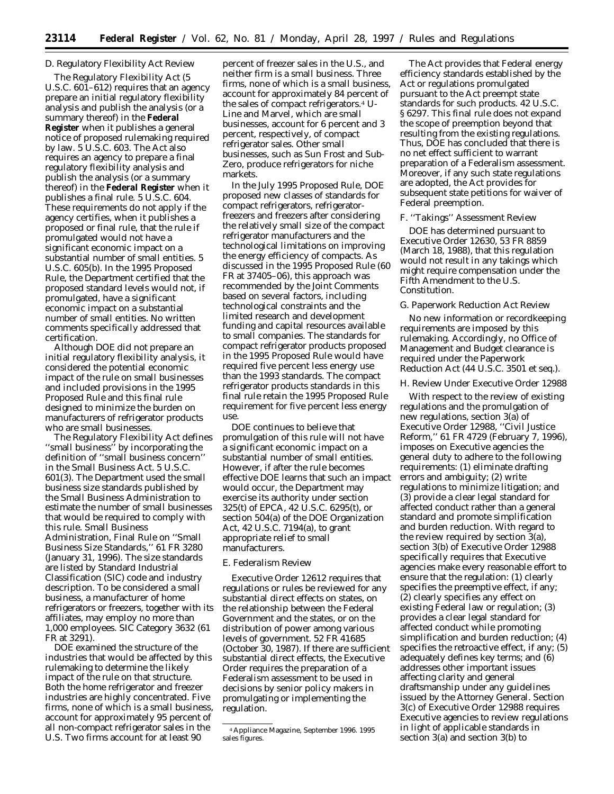## *D. Regulatory Flexibility Act Review*

The Regulatory Flexibility Act (5 U.S.C. 601–612) requires that an agency prepare an initial regulatory flexibility analysis and publish the analysis (or a summary thereof) in the **Federal Register** when it publishes a general notice of proposed rulemaking required by law. 5 U.S.C. 603. The Act also requires an agency to prepare a final regulatory flexibility analysis and publish the analysis (or a summary thereof) in the **Federal Register** when it publishes a final rule. 5 U.S.C. 604. These requirements do not apply if the agency certifies, when it publishes a proposed or final rule, that the rule if promulgated would not have a significant economic impact on a substantial number of small entities. 5 U.S.C. 605(b). In the 1995 Proposed Rule, the Department certified that the proposed standard levels would not, if promulgated, have a significant economic impact on a substantial number of small entities. No written comments specifically addressed that certification.

Although DOE did not prepare an initial regulatory flexibility analysis, it considered the potential economic impact of the rule on small businesses and included provisions in the 1995 Proposed Rule and this final rule designed to minimize the burden on manufacturers of refrigerator products who are small businesses.

The Regulatory Flexibility Act defines ''small business'' by incorporating the definition of ''small business concern'' in the Small Business Act. 5 U.S.C. 601(3). The Department used the small business size standards published by the Small Business Administration to estimate the number of small businesses that would be required to comply with this rule. Small Business Administration, Final Rule on ''Small Business Size Standards,'' 61 FR 3280 (January 31, 1996). The size standards are listed by Standard Industrial Classification (SIC) code and industry description. To be considered a small business, a manufacturer of home refrigerators or freezers, together with its affiliates, may employ no more than 1,000 employees. SIC Category 3632 (61 FR at 3291).

DOE examined the structure of the industries that would be affected by this rulemaking to determine the likely impact of the rule on that structure. Both the home refrigerator and freezer industries are highly concentrated. Five firms, none of which is a small business, account for approximately 95 percent of all non-compact refrigerator sales in the U.S. Two firms account for at least 90

percent of freezer sales in the U.S., and neither firm is a small business. Three firms, none of which is a small business, account for approximately 84 percent of the sales of compact refrigerators.4 U-Line and Marvel, which are small businesses, account for 6 percent and 3 percent, respectively, of compact refrigerator sales. Other small businesses, such as Sun Frost and Sub-Zero, produce refrigerators for niche markets.

In the July 1995 Proposed Rule, DOE proposed new classes of standards for compact refrigerators, refrigeratorfreezers and freezers after considering the relatively small size of the compact refrigerator manufacturers and the technological limitations on improving the energy efficiency of compacts. As discussed in the 1995 Proposed Rule (60 FR at 37405–06), this approach was recommended by the Joint Comments based on several factors, including technological constraints and the limited research and development funding and capital resources available to small companies. The standards for compact refrigerator products proposed in the 1995 Proposed Rule would have required five percent less energy use than the 1993 standards. The compact refrigerator products standards in this final rule retain the 1995 Proposed Rule requirement for five percent less energy use.

DOE continues to believe that promulgation of this rule will not have a significant economic impact on a substantial number of small entities. However, if after the rule becomes effective DOE learns that such an impact would occur, the Department may exercise its authority under section 325(t) of EPCA, 42 U.S.C. 6295(t), or section 504(a) of the DOE Organization Act, 42 U.S.C. 7194(a), to grant appropriate relief to small manufacturers.

### *E. Federalism Review*

Executive Order 12612 requires that regulations or rules be reviewed for any substantial direct effects on states, on the relationship between the Federal Government and the states, or on the distribution of power among various levels of government. 52 FR 41685 (October 30, 1987). If there are sufficient substantial direct effects, the Executive Order requires the preparation of a Federalism assessment to be used in decisions by senior policy makers in promulgating or implementing the regulation.

The Act provides that Federal energy efficiency standards established by the Act or regulations promulgated pursuant to the Act preempt state standards for such products. 42 U.S.C. § 6297. This final rule does not expand the scope of preemption beyond that resulting from the existing regulations. Thus, DOE has concluded that there is no net effect sufficient to warrant preparation of a Federalism assessment. Moreover, if any such state regulations are adopted, the Act provides for subsequent state petitions for waiver of Federal preemption.

#### *F. ''Takings'' Assessment Review*

DOE has determined pursuant to Executive Order 12630, 53 FR 8859 (March 18, 1988), that this regulation would not result in any takings which might require compensation under the Fifth Amendment to the U.S. Constitution.

#### *G. Paperwork Reduction Act Review*

No new information or recordkeeping requirements are imposed by this rulemaking. Accordingly, no Office of Management and Budget clearance is required under the Paperwork Reduction Act (44 U.S.C. 3501 *et seq.*).

#### *H. Review Under Executive Order 12988*

With respect to the review of existing regulations and the promulgation of new regulations, section 3(a) of Executive Order 12988, ''Civil Justice Reform,'' 61 FR 4729 (February 7, 1996), imposes on Executive agencies the general duty to adhere to the following requirements: (1) eliminate drafting errors and ambiguity; (2) write regulations to minimize litigation; and (3) provide a clear legal standard for affected conduct rather than a general standard and promote simplification and burden reduction. With regard to the review required by section 3(a), section 3(b) of Executive Order 12988 specifically requires that Executive agencies make every reasonable effort to ensure that the regulation: (1) clearly specifies the preemptive effect, if any; (2) clearly specifies any effect on existing Federal law or regulation; (3) provides a clear legal standard for affected conduct while promoting simplification and burden reduction; (4) specifies the retroactive effect, if any; (5) adequately defines key terms; and (6) addresses other important issues affecting clarity and general draftsmanship under any guidelines issued by the Attorney General. Section 3(c) of Executive Order 12988 requires Executive agencies to review regulations in light of applicable standards in section 3(a) and section 3(b) to

<sup>4</sup>Appliance Magazine, September 1996. 1995 sales figures.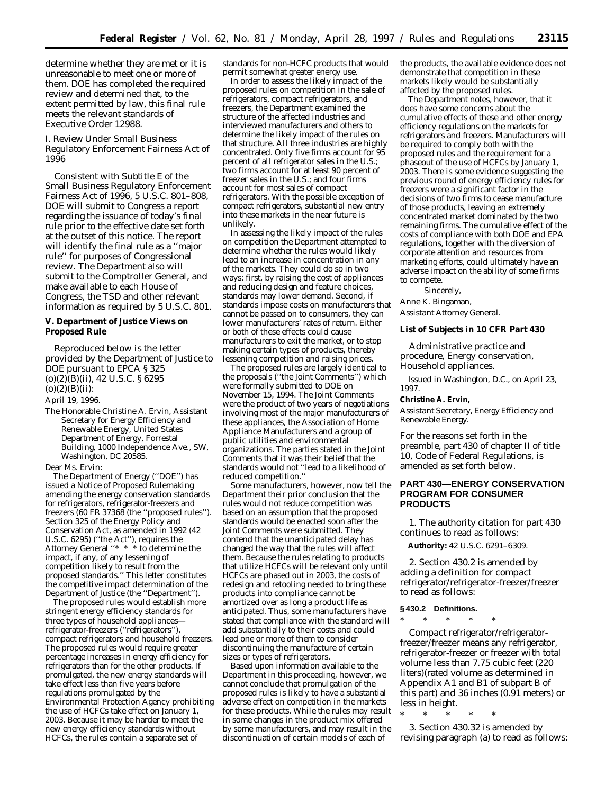determine whether they are met or it is unreasonable to meet one or more of them. DOE has completed the required review and determined that, to the extent permitted by law, this final rule meets the relevant standards of Executive Order 12988.

### *I. Review Under Small Business Regulatory Enforcement Fairness Act of 1996*

Consistent with Subtitle E of the Small Business Regulatory Enforcement Fairness Act of 1996, 5 U.S.C. 801–808, DOE will submit to Congress a report regarding the issuance of today's final rule prior to the effective date set forth at the outset of this notice. The report will identify the final rule as a ''major rule'' for purposes of Congressional review. The Department also will submit to the Comptroller General, and make available to each House of Congress, the TSD and other relevant information as required by 5 U.S.C. 801.

#### **V. Department of Justice Views on Proposed Rule**

Reproduced below is the letter provided by the Department of Justice to DOE pursuant to EPCA § 325 (o)(2)(B)(ii), 42 U.S.C. § 6295  $(o)(2)(B)(ii)$ :

April 19, 1996.

The Honorable Christine A. Ervin, Assistant Secretary for Energy Efficiency and Renewable Energy, United States Department of Energy, Forrestal Building, 1000 Independence Ave., SW, Washington, DC 20585.

Dear Ms. Ervin:

The Department of Energy (''DOE'') has issued a Notice of Proposed Rulemaking amending the energy conservation standards for refrigerators, refrigerator-freezers and freezers (60 FR 37368 (the ''proposed rules''). Section 325 of the Energy Policy and Conservation Act, as amended in 1992 (42 U.S.C. 6295) (''the Act''), requires the Attorney General ''\* \* \* to determine the impact, if any, of any lessening of competition likely to result from the proposed standards.'' This letter constitutes the competitive impact determination of the Department of Justice (the ''Department'').

The proposed rules would establish more stringent energy efficiency standards for three types of household appliances refrigerator-freezers (''refrigerators''), compact refrigerators and household freezers. The proposed rules would require greater percentage increases in energy efficiency for refrigerators than for the other products. If promulgated, the new energy standards will take effect less than five years before regulations promulgated by the Environmental Protection Agency prohibiting the use of HCFCs take effect on January 1, 2003. Because it may be harder to meet the new energy efficiency standards without HCFCs, the rules contain a separate set of

standards for non-HCFC products that would permit somewhat greater energy use.

In order to assess the likely impact of the proposed rules on competition in the sale of refrigerators, compact refrigerators, and freezers, the Department examined the structure of the affected industries and interviewed manufacturers and others to determine the likely impact of the rules on that structure. All three industries are highly concentrated. Only five firms account for 95 percent of all refrigerator sales in the U.S.; two firms account for at least 90 percent of freezer sales in the U.S.; and four firms account for most sales of compact refrigerators. With the possible exception of compact refrigerators, substantial new entry into these markets in the near future is unlikely.

In assessing the likely impact of the rules on competition the Department attempted to determine whether the rules would likely lead to an increase in concentration in any of the markets. They could do so in two ways: first, by raising the cost of appliances and reducing design and feature choices, standards may lower demand. Second, if standards impose costs on manufacturers that cannot be passed on to consumers, they can lower manufacturers' rates of return. Either or both of these effects could cause manufacturers to exit the market, or to stop making certain types of products, thereby lessening competition and raising prices.

The proposed rules are largely identical to the proposals (''the Joint Comments'') which were formally submitted to DOE on November 15, 1994. The Joint Comments were the product of two years of negotiations involving most of the major manufacturers of these appliances, the Association of Home Appliance Manufacturers and a group of public utilities and environmental organizations. The parties stated in the Joint Comments that it was their belief that the standards would not ''lead to a likelihood of reduced competition.''

Some manufacturers, however, now tell the Department their prior conclusion that the rules would not reduce competition was based on an assumption that the proposed standards would be enacted soon after the Joint Comments were submitted. They contend that the unanticipated delay has changed the way that the rules will affect them. Because the rules relating to products that utilize HCFCs will be relevant only until HCFCs are phased out in 2003, the costs of redesign and retooling needed to bring these products into compliance cannot be amortized over as long a product life as anticipated. Thus, some manufacturers have stated that compliance with the standard will add substantially to their costs and could lead one or more of them to consider discontinuing the manufacture of certain sizes or types of refrigerators.

Based upon information available to the Department in this proceeding, however, we cannot conclude that promulgation of the proposed rules is likely to have a substantial adverse effect on competition in the markets for these products. While the rules may result in some changes in the product mix offered by some manufacturers, and may result in the discontinuation of certain models of each of

the products, the available evidence does not demonstrate that competition in these markets likely would be substantially affected by the proposed rules.

The Department notes, however, that it does have some concerns about the cumulative effects of these and other energy efficiency regulations on the markets for refrigerators and freezers. Manufacturers will be required to comply both with the proposed rules and the requirement for a phaseout of the use of HCFCs by January 1, 2003. There is some evidence suggesting the previous round of energy efficiency rules for freezers were a significant factor in the decisions of two firms to cease manufacture of those products, leaving an extremely concentrated market dominated by the two remaining firms. The cumulative effect of the costs of compliance with both DOE and EPA regulations, together with the diversion of corporate attention and resources from marketing efforts, could ultimately have an adverse impact on the ability of some firms to compete.

Sincerely, Anne K. Bingaman, *Assistant Attorney General.*

#### **List of Subjects in 10 CFR Part 430**

Administrative practice and procedure, Energy conservation, Household appliances.

Issued in Washington, D.C., on April 23, 1997.

### **Christine A. Ervin,**

*Assistant Secretary, Energy Efficiency and Renewable Energy.*

For the reasons set forth in the preamble, part 430 of chapter II of title 10, Code of Federal Regulations, is amended as set forth below.

### **PART 430—ENERGY CONSERVATION PROGRAM FOR CONSUMER PRODUCTS**

1. The authority citation for part 430 continues to read as follows:

**Authority:** 42 U.S.C. 6291–6309.

2. Section 430.2 is amended by adding a definition for *compact refrigerator/refrigerator-freezer/freezer* to read as follows:

#### **§ 430.2 Definitions.**

\* \* \* \* \*

*Compact refrigerator/refrigeratorfreezer/freezer* means any refrigerator, refrigerator-freezer or freezer with total volume less than 7.75 cubic feet (220 liters)(rated volume as determined in Appendix A1 and B1 of subpart B of this part) and 36 inches (0.91 meters) or less in height.

\* \* \* \* \*

3. Section 430.32 is amended by revising paragraph (a) to read as follows: